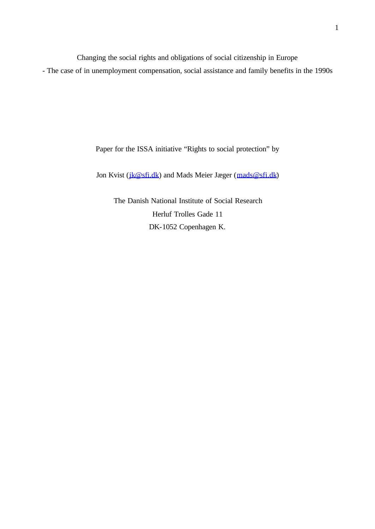Changing the social rights and obligations of social citizenship in Europe

- The case of in unemployment compensation, social assistance and family benefits in the 1990s

Paper for the ISSA initiative "Rights to social protection" by

Jon Kvist (jk@sfi.dk) and Mads Meier Jæger (mads@sfi.dk)

The Danish National Institute of Social Research Herluf Trolles Gade 11 DK-1052 Copenhagen K.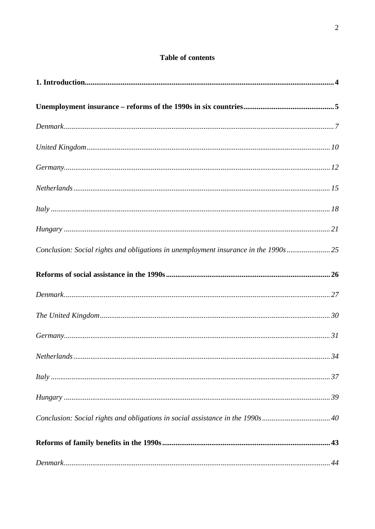| <b>Table of contents</b> |  |
|--------------------------|--|
|--------------------------|--|

| $It is known to be a linear combination of the following matrices.$                 |
|-------------------------------------------------------------------------------------|
|                                                                                     |
| Conclusion: Social rights and obligations in unemployment insurance in the 1990s 25 |
|                                                                                     |
|                                                                                     |
|                                                                                     |
|                                                                                     |
| 34                                                                                  |
| $It is known to be a non-1.37.$                                                     |
|                                                                                     |
|                                                                                     |
|                                                                                     |
|                                                                                     |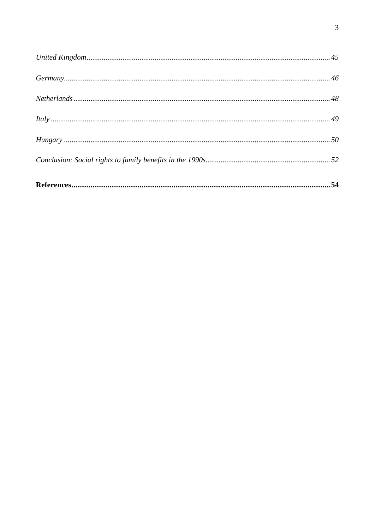| $It is known to be a linear combination of the following matrices.$ |  |
|---------------------------------------------------------------------|--|
|                                                                     |  |
|                                                                     |  |
|                                                                     |  |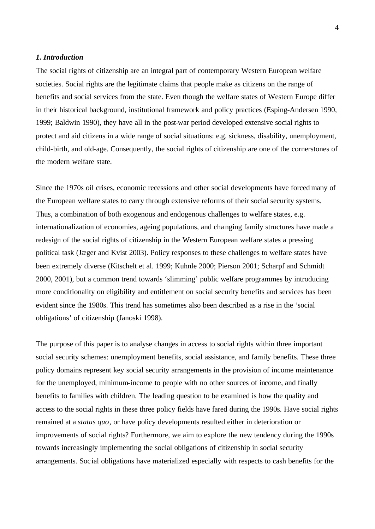# *1. Introduction*

The social rights of citizenship are an integral part of contemporary Western European welfare societies. Social rights are the legitimate claims that people make as citizens on the range of benefits and social services from the state. Even though the welfare states of Western Europe differ in their historical background, institutional framework and policy practices (Esping-Andersen 1990, 1999; Baldwin 1990), they have all in the post-war period developed extensive social rights to protect and aid citizens in a wide range of social situations: e.g. sickness, disability, unemployment, child-birth, and old-age. Consequently, the social rights of citizenship are one of the cornerstones of the modern welfare state.

Since the 1970s oil crises, economic recessions and other social developments have forced many of the European welfare states to carry through extensive reforms of their social security systems. Thus, a combination of both exogenous and endogenous challenges to welfare states, e.g. internationalization of economies, ageing populations, and changing family structures have made a redesign of the social rights of citizenship in the Western European welfare states a pressing political task (Jæger and Kvist 2003). Policy responses to these challenges to welfare states have been extremely diverse (Kitschelt et al. 1999; Kuhnle 2000; Pierson 2001; Scharpf and Schmidt 2000, 2001), but a common trend towards 'slimming' public welfare programmes by introducing more conditionality on eligibility and entitlement on social security benefits and services has been evident since the 1980s. This trend has sometimes also been described as a rise in the 'social obligations' of citizenship (Janoski 1998).

The purpose of this paper is to analyse changes in access to social rights within three important social security schemes: unemployment benefits, social assistance, and family benefits. These three policy domains represent key social security arrangements in the provision of income maintenance for the unemployed, minimum-income to people with no other sources of income, and finally benefits to families with children. The leading question to be examined is how the quality and access to the social rights in these three policy fields have fared during the 1990s. Have social rights remained at a *status quo*, or have policy developments resulted either in deterioration or improvements of social rights? Furthermore, we aim to explore the new tendency during the 1990s towards increasingly implementing the social obligations of citizenship in social security arrangements. Soc ial obligations have materialized especially with respects to cash benefits for the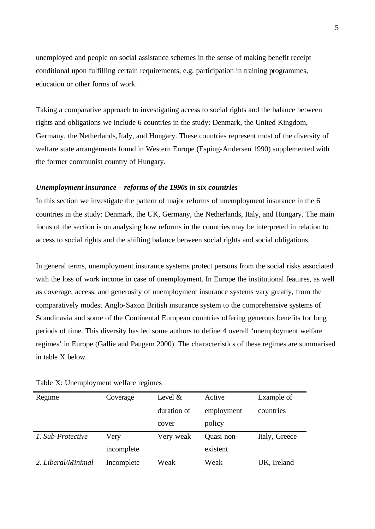unemployed and people on social assistance schemes in the sense of making benefit receipt conditional upon fulfilling certain requirements, e.g. participation in training programmes, education or other forms of work.

Taking a comparative approach to investigating access to social rights and the balance between rights and obligations we include 6 countries in the study: Denmark, the United Kingdom, Germany, the Netherlands, Italy, and Hungary. These countries represent most of the diversity of welfare state arrangements found in Western Europe (Esping-Andersen 1990) supplemented with the former communist country of Hungary.

# *Unemployment insurance – reforms of the 1990s in six countries*

In this section we investigate the pattern of major reforms of unemployment insurance in the 6 countries in the study: Denmark, the UK, Germany, the Netherlands, Italy, and Hungary. The main focus of the section is on analysing how reforms in the countries may be interpreted in relation to access to social rights and the shifting balance between social rights and social obligations.

In general terms, unemployment insurance systems protect persons from the social risks associated with the loss of work income in case of unemployment. In Europe the institutional features, as well as coverage, access, and generosity of unemployment insurance systems vary greatly, from the comparatively modest Anglo-Saxon British insurance system to the comprehensive systems of Scandinavia and some of the Continental European countries offering generous benefits for long periods of time. This diversity has led some authors to define 4 overall 'unemployment welfare regimes' in Europe (Gallie and Paugam 2000). The cha racteristics of these regimes are summarised in table X below.

| Regime             | Coverage   | Level $&$   | Active     | Example of    |
|--------------------|------------|-------------|------------|---------------|
|                    |            | duration of | employment | countries     |
|                    |            | cover       | policy     |               |
| 1. Sub-Protective  | Very       | Very weak   | Quasi non- | Italy, Greece |
|                    | incomplete |             | existent   |               |
| 2. Liberal/Minimal | Incomplete | Weak        | Weak       | UK, Ireland   |

Table X: Unemployment welfare regimes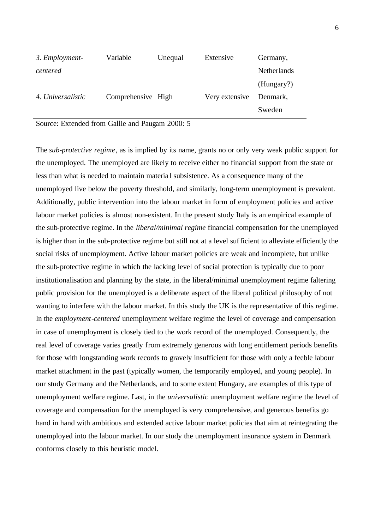| 3. Employment-    | Variable           | Unequal | Extensive      | Germany,           |
|-------------------|--------------------|---------|----------------|--------------------|
| centered          |                    |         |                | <b>Netherlands</b> |
|                   |                    |         |                | (Hungary?)         |
| 4. Universalistic | Comprehensive High |         | Very extensive | Denmark,           |
|                   |                    |         |                | Sweden             |

Source: Extended from Gallie and Paugam 2000: 5

The *sub-protective regime*, as is implied by its name, grants no or only very weak public support for the unemployed. The unemployed are likely to receive either no financial support from the state or less than what is needed to maintain material subsistence. As a consequence many of the unemployed live below the poverty threshold, and similarly, long-term unemployment is prevalent. Additionally, public intervention into the labour market in form of employment policies and active labour market policies is almost non-existent. In the present study Italy is an empirical example of the sub-protective regime. In the *liberal/minimal regime* financial compensation for the unemployed is higher than in the sub-protective regime but still not at a level sufficient to alleviate efficiently the social risks of unemployment. Active labour market policies are weak and incomplete, but unlike the sub-protective regime in which the lacking level of social protection is typically due to poor institutionalisation and planning by the state, in the liberal/minimal unemployment regime faltering public provision for the unemployed is a deliberate aspect of the liberal political philosophy of not wanting to interfere with the labour market. In this study the UK is the representative of this regime. In the *employment-centered* unemployment welfare regime the level of coverage and compensation in case of unemployment is closely tied to the work record of the unemployed. Consequently, the real level of coverage varies greatly from extremely generous with long entitlement periods benefits for those with longstanding work records to gravely insufficient for those with only a feeble labour market attachment in the past (typically women, the temporarily employed, and young people). In our study Germany and the Netherlands, and to some extent Hungary, are examples of this type of unemployment welfare regime. Last, in the *universalistic* unemployment welfare regime the level of coverage and compensation for the unemployed is very comprehensive, and generous benefits go hand in hand with ambitious and extended active labour market policies that aim at reintegrating the unemployed into the labour market. In our study the unemployment insurance system in Denmark conforms closely to this heuristic model.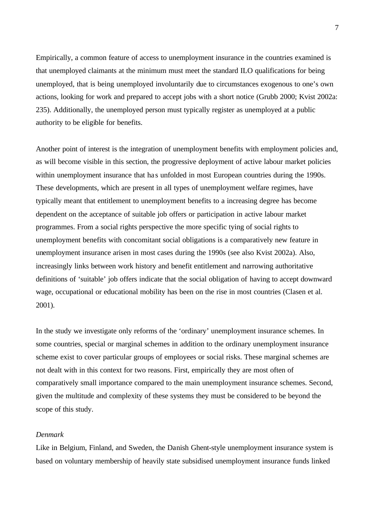Empirically, a common feature of access to unemployment insurance in the countries examined is that unemployed claimants at the minimum must meet the standard ILO qualifications for being unemployed, that is being unemployed involuntarily due to circumstances exogenous to one's own actions, looking for work and prepared to accept jobs with a short notice (Grubb 2000; Kvist 2002a: 235). Additionally, the unemployed person must typically register as unemployed at a public authority to be eligible for benefits.

Another point of interest is the integration of unemployment benefits with employment policies and, as will become visible in this section, the progressive deployment of active labour market policies within unemployment insurance that has unfolded in most European countries during the 1990s. These developments, which are present in all types of unemployment welfare regimes, have typically meant that entitlement to unemployment benefits to a increasing degree has become dependent on the acceptance of suitable job offers or participation in active labour market programmes. From a social rights perspective the more specific tying of social rights to unemployment benefits with concomitant social obligations is a comparatively new feature in unemployment insurance arisen in most cases during the 1990s (see also Kvist 2002a). Also, increasingly links between work history and benefit entitlement and narrowing authoritative definitions of 'suitable' job offers indicate that the social obligation of having to accept downward wage, occupational or educational mobility has been on the rise in most countries (Clasen et al. 2001).

In the study we investigate only reforms of the 'ordinary' unemployment insurance schemes. In some countries, special or marginal schemes in addition to the ordinary unemployment insurance scheme exist to cover particular groups of employees or social risks. These marginal schemes are not dealt with in this context for two reasons. First, empirically they are most often of comparatively small importance compared to the main unemployment insurance schemes. Second, given the multitude and complexity of these systems they must be considered to be beyond the scope of this study.

### *Denmark*

Like in Belgium, Finland, and Sweden, the Danish Ghent-style unemployment insurance system is based on voluntary membership of heavily state subsidised unemployment insurance funds linked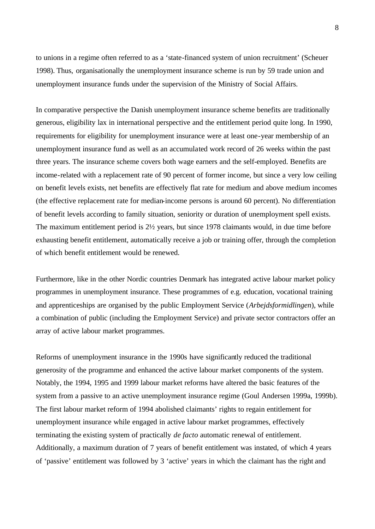to unions in a regime often referred to as a 'state-financed system of union recruitment' (Scheuer 1998). Thus, organisationally the unemployment insurance scheme is run by 59 trade union and unemployment insurance funds under the supervision of the Ministry of Social Affairs.

In comparative perspective the Danish unemployment insurance scheme benefits are traditionally generous, eligibility lax in international perspective and the entitlement period quite long. In 1990, requirements for eligibility for unemployment insurance were at least one-year membership of an unemployment insurance fund as well as an accumulated work record of 26 weeks within the past three years. The insurance scheme covers both wage earners and the self-employed. Benefits are income-related with a replacement rate of 90 percent of former income, but since a very low ceiling on benefit levels exists, net benefits are effectively flat rate for medium and above medium incomes (the effective replacement rate for median-income persons is around 60 percent). No differentiation of benefit levels according to family situation, seniority or duration of unemployment spell exists. The maximum entitlement period is 2½ years, but since 1978 claimants would, in due time before exhausting benefit entitlement, automatically receive a job or training offer, through the completion of which benefit entitlement would be renewed.

Furthermore, like in the other Nordic countries Denmark has integrated active labour market policy programmes in unemployment insurance. These programmes of e.g. education, vocational training and apprenticeships are organised by the public Employment Service (*Arbejdsformidlingen*), while a combination of public (including the Employment Service) and private sector contractors offer an array of active labour market programmes.

Reforms of unemployment insurance in the 1990s have significantly reduced the traditional generosity of the programme and enhanced the active labour market components of the system. Notably, the 1994, 1995 and 1999 labour market reforms have altered the basic features of the system from a passive to an active unemployment insurance regime (Goul Andersen 1999a, 1999b). The first labour market reform of 1994 abolished claimants' rights to regain entitlement for unemployment insurance while engaged in active labour market programmes, effectively terminating the existing system of practically *de facto* automatic renewal of entitlement. Additionally, a maximum duration of 7 years of benefit entitlement was instated, of which 4 years of 'passive' entitlement was followed by 3 'active' years in which the claimant has the right and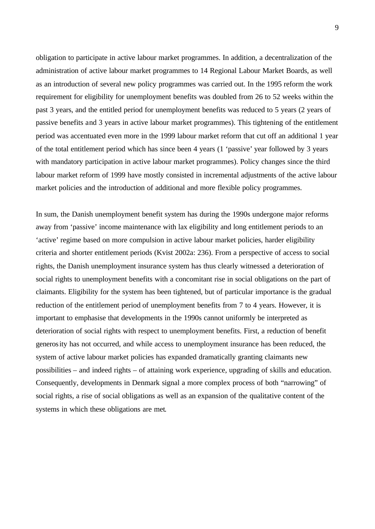obligation to participate in active labour market programmes. In addition, a decentralization of the administration of active labour market programmes to 14 Regional Labour Market Boards, as well as an introduction of several new policy programmes was carried out. In the 1995 reform the work requirement for eligibility for unemployment benefits was doubled from 26 to 52 weeks within the past 3 years, and the entitled period for unemployment benefits was reduced to 5 years (2 years of passive benefits and 3 years in active labour market programmes). This tightening of the entitlement period was accentuated even more in the 1999 labour market reform that cut off an additional 1 year of the total entitlement period which has since been 4 years (1 'passive' year followed by 3 years with mandatory participation in active labour market programmes). Policy changes since the third labour market reform of 1999 have mostly consisted in incremental adjustments of the active labour market policies and the introduction of additional and more flexible policy programmes.

In sum, the Danish unemployment benefit system has during the 1990s undergone major reforms away from 'passive' income maintenance with lax eligibility and long entitlement periods to an 'active' regime based on more compulsion in active labour market policies, harder eligibility criteria and shorter entitlement periods (Kvist 2002a: 236). From a perspective of access to social rights, the Danish unemployment insurance system has thus clearly witnessed a deterioration of social rights to unemployment benefits with a concomitant rise in social obligations on the part of claimants. Eligibility for the system has been tightened, but of particular importance is the gradual reduction of the entitlement period of unemployment benefits from 7 to 4 years. However, it is important to emphasise that developments in the 1990s cannot uniformly be interpreted as deterioration of social rights with respect to unemployment benefits. First, a reduction of benefit generosity has not occurred, and while access to unemployment insurance has been reduced, the system of active labour market policies has expanded dramatically granting claimants new possibilities – and indeed rights – of attaining work experience, upgrading of skills and education. Consequently, developments in Denmark signal a more complex process of both "narrowing" of social rights, a rise of social obligations as well as an expansion of the qualitative content of the systems in which these obligations are met.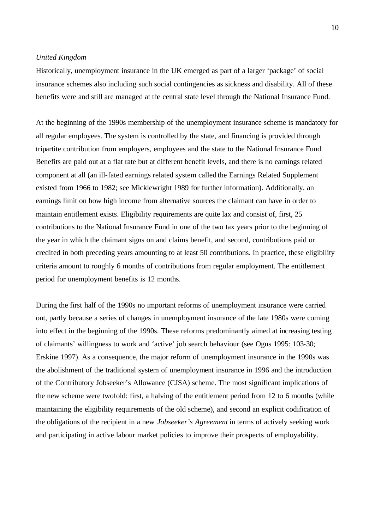### *United Kingdom*

Historically, unemployment insurance in the UK emerged as part of a larger 'package' of social insurance schemes also including such social contingencies as sickness and disability. All of these benefits were and still are managed at the central state level through the National Insurance Fund.

At the beginning of the 1990s membership of the unemployment insurance scheme is mandatory for all regular employees. The system is controlled by the state, and financing is provided through tripartite contribution from employers, employees and the state to the National Insurance Fund. Benefits are paid out at a flat rate but at different benefit levels, and there is no earnings related component at all (an ill-fated earnings related system called the Earnings Related Supplement existed from 1966 to 1982; see Micklewright 1989 for further information). Additionally, an earnings limit on how high income from alternative sources the claimant can have in order to maintain entitlement exists. Eligibility requirements are quite lax and consist of, first, 25 contributions to the National Insurance Fund in one of the two tax years prior to the beginning of the year in which the claimant signs on and claims benefit, and second, contributions paid or credited in both preceding years amounting to at least 50 contributions. In practice, these eligibility criteria amount to roughly 6 months of contributions from regular employment. The entitlement period for unemployment benefits is 12 months.

During the first half of the 1990s no important reforms of unemployment insurance were carried out, partly because a series of changes in unemployment insurance of the late 1980s were coming into effect in the beginning of the 1990s. These reforms predominantly aimed at increasing testing of claimants' willingness to work and 'active' job search behaviour (see Ogus 1995: 103-30; Erskine 1997). As a consequence, the major reform of unemployment insurance in the 1990s was the abolishment of the traditional system of unemployment insurance in 1996 and the introduction of the Contributory Jobseeker's Allowance (CJSA) scheme. The most significant implications of the new scheme were twofold: first, a halving of the entitlement period from 12 to 6 months (while maintaining the eligibility requirements of the old scheme), and second an explicit codification of the obligations of the recipient in a new *Jobseeker's Agreement* in terms of actively seeking work and participating in active labour market policies to improve their prospects of employability.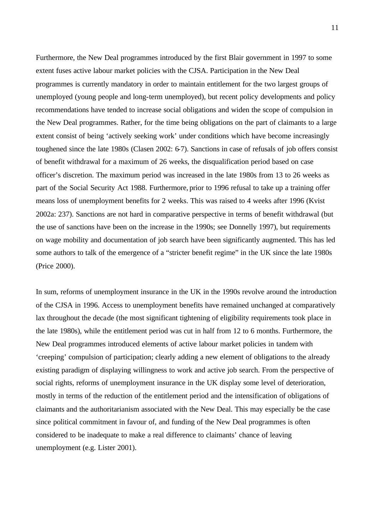Furthermore, the New Deal programmes introduced by the first Blair government in 1997 to some extent fuses active labour market policies with the CJSA. Participation in the New Deal programmes is currently mandatory in order to maintain entitlement for the two largest groups of unemployed (young people and long-term unemployed), but recent policy developments and policy recommendations have tended to increase social obligations and widen the scope of compulsion in the New Deal programmes. Rather, for the time being obligations on the part of claimants to a large extent consist of being 'actively seeking work' under conditions which have become increasingly toughened since the late 1980s (Clasen 2002: 6-7). Sanctions in case of refusals of job offers consist of benefit withdrawal for a maximum of 26 weeks, the disqualification period based on case officer's discretion. The maximum period was increased in the late 1980s from 13 to 26 weeks as part of the Social Security Act 1988. Furthermore, prior to 1996 refusal to take up a training offer means loss of unemployment benefits for 2 weeks. This was raised to 4 weeks after 1996 (Kvist 2002a: 237). Sanctions are not hard in comparative perspective in terms of benefit withdrawal (but the use of sanctions have been on the increase in the 1990s; see Donnelly 1997), but requirements on wage mobility and documentation of job search have been significantly augmented. This has led some authors to talk of the emergence of a "stricter benefit regime" in the UK since the late 1980s (Price 2000).

In sum, reforms of unemployment insurance in the UK in the 1990s revolve around the introduction of the CJSA in 1996. Access to unemployment benefits have remained unchanged at comparatively lax throughout the decade (the most significant tightening of eligibility requirements took place in the late 1980s), while the entitlement period was cut in half from 12 to 6 months. Furthermore, the New Deal programmes introduced elements of active labour market policies in tandem with 'creeping' compulsion of participation; clearly adding a new element of obligations to the already existing paradigm of displaying willingness to work and active job search. From the perspective of social rights, reforms of unemployment insurance in the UK display some level of deterioration, mostly in terms of the reduction of the entitlement period and the intensification of obligations of claimants and the authoritarianism associated with the New Deal. This may especially be the case since political commitment in favour of, and funding of the New Deal programmes is often considered to be inadequate to make a real difference to claimants' chance of leaving unemployment (e.g. Lister 2001).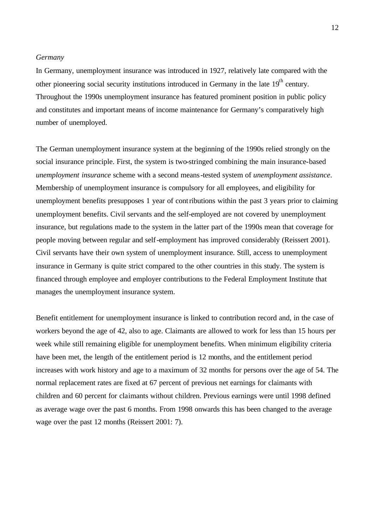### *Germany*

In Germany, unemployment insurance was introduced in 1927, relatively late compared with the other pioneering social security institutions introduced in Germany in the late  $19<sup>th</sup>$  century. Throughout the 1990s unemployment insurance has featured prominent position in public policy and constitutes and important means of income maintenance for Germany's comparatively high number of unemployed.

The German unemployment insurance system at the beginning of the 1990s relied strongly on the social insurance principle. First, the system is two-stringed combining the main insurance-based *unemployment insurance* scheme with a second means-tested system of *unemployment assistance*. Membership of unemployment insurance is compulsory for all employees, and eligibility for unemployment benefits presupposes 1 year of contributions within the past 3 years prior to claiming unemployment benefits. Civil servants and the self-employed are not covered by unemployment insurance, but regulations made to the system in the latter part of the 1990s mean that coverage for people moving between regular and self-employment has improved considerably (Reissert 2001). Civil servants have their own system of unemployment insurance. Still, access to unemployment insurance in Germany is quite strict compared to the other countries in this study. The system is financed through employee and employer contributions to the Federal Employment Institute that manages the unemployment insurance system.

Benefit entitlement for unemployment insurance is linked to contribution record and, in the case of workers beyond the age of 42, also to age. Claimants are allowed to work for less than 15 hours per week while still remaining eligible for unemployment benefits. When minimum eligibility criteria have been met, the length of the entitlement period is 12 months, and the entitlement period increases with work history and age to a maximum of 32 months for persons over the age of 54. The normal replacement rates are fixed at 67 percent of previous net earnings for claimants with children and 60 percent for claimants without children. Previous earnings were until 1998 defined as average wage over the past 6 months. From 1998 onwards this has been changed to the average wage over the past 12 months (Reissert 2001: 7).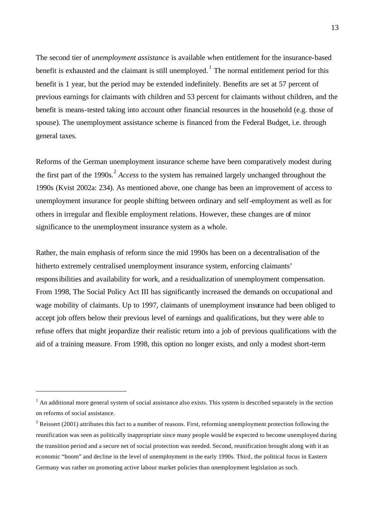The second tier of *unemployment assistance* is available when entitlement for the insurance-based benefit is exhausted and the claimant is still unemployed.<sup>1</sup> The normal entitlement period for this benefit is 1 year, but the period may be extended indefinitely. Benefits are set at 57 percent of previous earnings for claimants with children and 53 percent for claimants without children, and the benefit is means-tested taking into account other financial resources in the household (e.g. those of spouse). The unemployment assistance scheme is financed from the Federal Budget, i.e. through general taxes.

Reforms of the German unemployment insurance scheme have been comparatively modest during the first part of the 1990s.<sup>2</sup> *Access* to the system has remained largely unchanged throughout the 1990s (Kvist 2002a: 234). As mentioned above, one change has been an improvement of access to unemployment insurance for people shifting between ordinary and self-employment as well as for others in irregular and flexible employment relations. However, these changes are of minor significance to the unemployment insurance system as a whole.

Rather, the main emphasis of reform since the mid 1990s has been on a decentralisation of the hitherto extremely centralised unemployment insurance system, enforcing claimants' responsibilities and availability for work, and a residualization of unemployment compensation. From 1998, The Social Policy Act III has significantly increased the demands on occupational and wage mobility of claimants. Up to 1997, claimants of unemployment insurance had been obliged to accept job offers below their previous level of earnings and qualifications, but they were able to refuse offers that might jeopardize their realistic return into a job of previous qualifications with the aid of a training measure. From 1998, this option no longer exists, and only a modest short-term

 $<sup>1</sup>$  An additional more general system of social assistance also exists. This system is described separately in the section</sup> on reforms of social assistance.

<sup>&</sup>lt;sup>2</sup> Reissert (2001) attributes this fact to a number of reasons. First, reforming unemployment protection following the reunification was seen as politically inappropriate since many people would be expected to become unemployed during the transition period and a secure net of social protection was needed. Second, reunification brought along with it an economic "boom" and decline in the level of unemployment in the early 1990s. Third, the political focus in Eastern Germany was rather on promoting active labour market policies than unemployment legislation as such.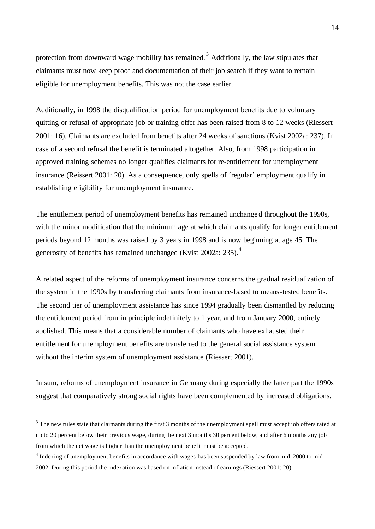protection from downward wage mobility has remained.<sup>3</sup> Additionally, the law stipulates that claimants must now keep proof and documentation of their job search if they want to remain eligible for unemployment benefits. This was not the case earlier.

Additionally, in 1998 the disqualification period for unemployment benefits due to voluntary quitting or refusal of appropriate job or training offer has been raised from 8 to 12 weeks (Riessert 2001: 16). Claimants are excluded from benefits after 24 weeks of sanctions (Kvist 2002a: 237). In case of a second refusal the benefit is terminated altogether. Also, from 1998 participation in approved training schemes no longer qualifies claimants for re-entitlement for unemployment insurance (Reissert 2001: 20). As a consequence, only spells of 'regular' employment qualify in establishing eligibility for unemployment insurance.

The entitlement period of unemployment benefits has remained unchanged throughout the 1990s, with the minor modification that the minimum age at which claimants qualify for longer entitlement periods beyond 12 months was raised by 3 years in 1998 and is now beginning at age 45. The generosity of benefits has remained unchanged (Kvist 2002a: 235).<sup>4</sup>

A related aspect of the reforms of unemployment insurance concerns the gradual residualization of the system in the 1990s by transferring claimants from insurance-based to means-tested benefits. The second tier of unemployment assistance has since 1994 gradually been dismantled by reducing the entitlement period from in principle indefinitely to 1 year, and from January 2000, entirely abolished. This means that a considerable number of claimants who have exhausted their entitlement for unemployment benefits are transferred to the general social assistance system without the interim system of unemployment assistance (Riessert 2001).

In sum, reforms of unemployment insurance in Germany during especially the latter part the 1990s suggest that comparatively strong social rights have been complemented by increased obligations.

 $3$  The new rules state that claimants during the first 3 months of the unemployment spell must accept job offers rated at up to 20 percent below their previous wage, during the next 3 months 30 percent below, and after 6 months any job from which the net wage is higher than the unemployment benefit must be accepted.

<sup>&</sup>lt;sup>4</sup> Indexing of unemployment benefits in accordance with wages has been suspended by law from mid-2000 to mid-2002. During this period the indexation was based on inflation instead of earnings (Riessert 2001: 20).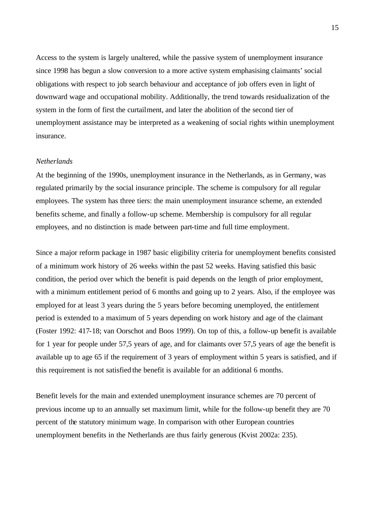Access to the system is largely unaltered, while the passive system of unemployment insurance since 1998 has begun a slow conversion to a more active system emphasising claimants' social obligations with respect to job search behaviour and acceptance of job offers even in light of downward wage and occupational mobility. Additionally, the trend towards residualization of the system in the form of first the curtailment, and later the abolition of the second tier of unemployment assistance may be interpreted as a weakening of social rights within unemployment insurance.

### *Netherlands*

At the beginning of the 1990s, unemployment insurance in the Netherlands, as in Germany, was regulated primarily by the social insurance principle. The scheme is compulsory for all regular employees. The system has three tiers: the main unemployment insurance scheme, an extended benefits scheme, and finally a follow-up scheme. Membership is compulsory for all regular employees, and no distinction is made between part-time and full time employment.

Since a major reform package in 1987 basic eligibility criteria for unemployment benefits consisted of a minimum work history of 26 weeks within the past 52 weeks. Having satisfied this basic condition, the period over which the benefit is paid depends on the length of prior employment, with a minimum entitlement period of 6 months and going up to 2 years. Also, if the employee was employed for at least 3 years during the 5 years before becoming unemployed, the entitlement period is extended to a maximum of 5 years depending on work history and age of the claimant (Foster 1992: 417-18; van Oorschot and Boos 1999). On top of this, a follow-up benefit is available for 1 year for people under 57,5 years of age, and for claimants over 57,5 years of age the benefit is available up to age 65 if the requirement of 3 years of employment within 5 years is satisfied, and if this requirement is not satisfied the benefit is available for an additional 6 months.

Benefit levels for the main and extended unemployment insurance schemes are 70 percent of previous income up to an annually set maximum limit, while for the follow-up benefit they are 70 percent of the statutory minimum wage. In comparison with other European countries unemployment benefits in the Netherlands are thus fairly generous (Kvist 2002a: 235).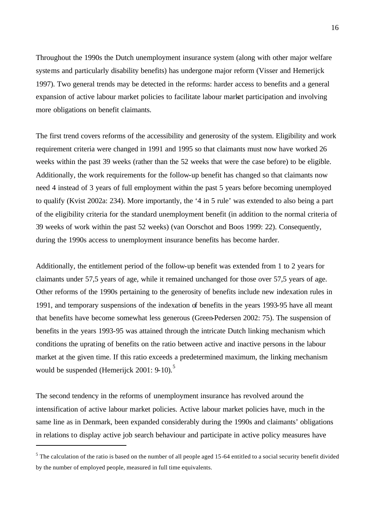Throughout the 1990s the Dutch unemployment insurance system (along with other major welfare systems and particularly disability benefits) has undergone major reform (Visser and Hemerijck 1997). Two general trends may be detected in the reforms: harder access to benefits and a general expansion of active labour market policies to facilitate labour market participation and involving more obligations on benefit claimants.

The first trend covers reforms of the accessibility and generosity of the system. Eligibility and work requirement criteria were changed in 1991 and 1995 so that claimants must now have worked 26 weeks within the past 39 weeks (rather than the 52 weeks that were the case before) to be eligible. Additionally, the work requirements for the follow-up benefit has changed so that claimants now need 4 instead of 3 years of full employment within the past 5 years before becoming unemployed to qualify (Kvist 2002a: 234). More importantly, the '4 in 5 rule' was extended to also being a part of the eligibility criteria for the standard unemployment benefit (in addition to the normal criteria of 39 weeks of work within the past 52 weeks) (van Oorschot and Boos 1999: 22). Consequently, during the 1990s access to unemployment insurance benefits has become harder.

Additionally, the entitlement period of the follow-up benefit was extended from 1 to 2 years for claimants under 57,5 years of age, while it remained unchanged for those over 57,5 years of age. Other reforms of the 1990s pertaining to the generosity of benefits include new indexation rules in 1991, and temporary suspensions of the indexation of benefits in the years 1993-95 have all meant that benefits have become somewhat less generous (Green-Pedersen 2002: 75). The suspension of benefits in the years 1993-95 was attained through the intricate Dutch linking mechanism which conditions the uprating of benefits on the ratio between active and inactive persons in the labour market at the given time. If this ratio exceeds a predetermined maximum, the linking mechanism would be suspended (Hemerijck  $2001: 9-10$ ).<sup>5</sup>

The second tendency in the reforms of unemployment insurance has revolved around the intensification of active labour market policies. Active labour market policies have, much in the same line as in Denmark, been expanded considerably during the 1990s and claimants' obligations in relations to display active job search behaviour and participate in active policy measures have

 $<sup>5</sup>$  The calculation of the ratio is based on the number of all people aged 15-64 entitled to a social security benefit divided</sup> by the number of employed people, measured in full time equivalents.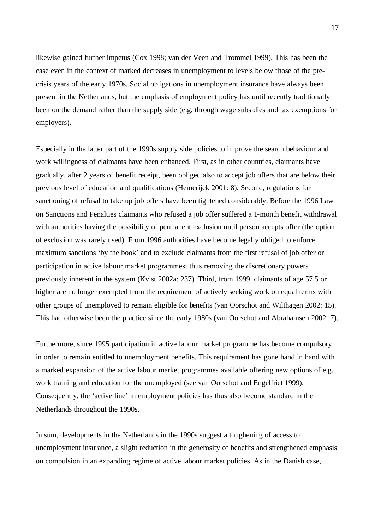likewise gained further impetus (Cox 1998; van der Veen and Trommel 1999). This has been the case even in the context of marked decreases in unemployment to levels below those of the precrisis years of the early 1970s. Social obligations in unemployment insurance have always been present in the Netherlands, but the emphasis of employment policy has until recently traditionally been on the demand rather than the supply side (e.g. through wage subsidies and tax exemptions for employers).

Especially in the latter part of the 1990s supply side policies to improve the search behaviour and work willingness of claimants have been enhanced. First, as in other countries, claimants have gradually, after 2 years of benefit receipt, been obliged also to accept job offers that are below their previous level of education and qualifications (Hemerijck 2001: 8). Second, regulations for sanctioning of refusal to take up job offers have been tightened considerably. Before the 1996 Law on Sanctions and Penalties claimants who refused a job offer suffered a 1-month benefit withdrawal with authorities having the possibility of permanent exclusion until person accepts offer (the option of exclusion was rarely used). From 1996 authorities have become legally obliged to enforce maximum sanctions 'by the book' and to exclude claimants from the first refusal of job offer or participation in active labour market programmes; thus removing the discretionary powers previously inherent in the system (Kvist 2002a: 237). Third, from 1999, claimants of age 57,5 or higher are no longer exempted from the requirement of actively seeking work on equal terms with other groups of unemployed to remain eligible for benefits (van Oorschot and Wilthagen 2002: 15). This had otherwise been the practice since the early 1980s (van Oorschot and Abrahamsen 2002: 7).

Furthermore, since 1995 participation in active labour market programme has become compulsory in order to remain entitled to unemployment benefits. This requirement has gone hand in hand with a marked expansion of the active labour market programmes available offering new options of e.g. work training and education for the unemployed (see van Oorschot and Engelfriet 1999). Consequently, the 'active line' in employment policies has thus also become standard in the Netherlands throughout the 1990s.

In sum, developments in the Netherlands in the 1990s suggest a toughening of access to unemployment insurance, a slight reduction in the generosity of benefits and strengthened emphasis on compulsion in an expanding regime of active labour market policies. As in the Danish case,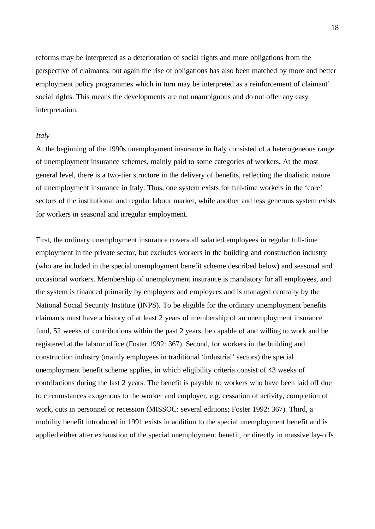reforms may be interpreted as a deterioration of social rights and more obligations from the perspective of claimants, but again the rise of obligations has also been matched by more and better employment policy programmes which in turn may be interpreted as a reinforcement of claimant' social rights. This means the developments are not unambiguous and do not offer any easy interpretation.

### *Italy*

At the beginning of the 1990s unemployment insurance in Italy consisted of a heterogeneous range of unemployment insurance schemes, mainly paid to some categories of workers. At the most general level, there is a two-tier structure in the delivery of benefits, reflecting the dualistic nature of unemployment insurance in Italy. Thus, one system exists for full-time workers in the 'core' sectors of the institutional and regular labour market, while another and less generous system exists for workers in seasonal and irregular employment.

First, the ordinary unemployment insurance covers all salaried employees in regular full-time employment in the private sector, but excludes workers in the building and construction industry (who are included in the special unemployment benefit scheme described below) and seasonal and occasional workers. Membership of unemployment insurance is mandatory for all employees, and the system is financed primarily by employers and employees and is managed centrally by the National Social Security Institute (INPS). To be eligible for the ordinary unemployment benefits claimants must have a history of at least 2 years of membership of an unemployment insurance fund, 52 weeks of contributions within the past 2 years, be capable of and willing to work and be registered at the labour office (Foster 1992: 367). Second, for workers in the building and construction industry (mainly employees in traditional 'industrial' sectors) the special unemployment benefit scheme applies, in which eligibility criteria consist of 43 weeks of contributions during the last 2 years. The benefit is payable to workers who have been laid off due to circumstances exogenous to the worker and employer, e.g. cessation of activity, completion of work, cuts in personnel or recession (MISSOC: several editions; Foster 1992: 367). Third, a mobility benefit introduced in 1991 exists in addition to the special unemployment benefit and is applied either after exhaustion of the special unemployment benefit, or directly in massive lay-offs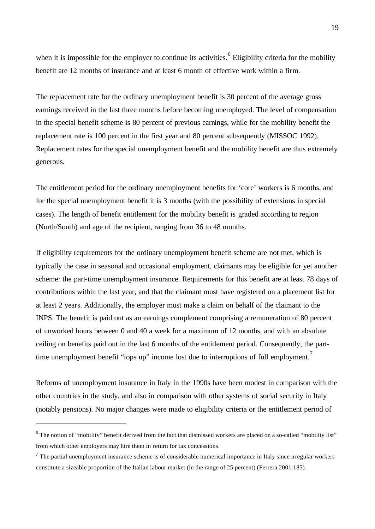when it is impossible for the employer to continue its activities.<sup>6</sup> Eligibility criteria for the mobility benefit are 12 months of insurance and at least 6 month of effective work within a firm.

The replacement rate for the ordinary unemployment benefit is 30 percent of the average gross earnings received in the last three months before becoming unemployed. The level of compensation in the special benefit scheme is 80 percent of previous earnings, while for the mobility benefit the replacement rate is 100 percent in the first year and 80 percent subsequently (MISSOC 1992). Replacement rates for the special unemployment benefit and the mobility benefit are thus extremely generous.

The entitlement period for the ordinary unemployment benefits for 'core' workers is 6 months, and for the special unemployment benefit it is 3 months (with the possibility of extensions in special cases). The length of benefit entitlement for the mobility benefit is graded according to region (North/South) and age of the recipient, ranging from 36 to 48 months.

If eligibility requirements for the ordinary unemployment benefit scheme are not met, which is typically the case in seasonal and occasional employment, claimants may be eligible for yet another scheme: the part-time unemployment insurance. Requirements for this benefit are at least 78 days of contributions within the last year, and that the claimant must have registered on a placement list for at least 2 years. Additionally, the employer must make a claim on behalf of the claimant to the INPS. The benefit is paid out as an earnings complement comprising a remuneration of 80 percent of unworked hours between 0 and 40 a week for a maximum of 12 months, and with an absolute ceiling on benefits paid out in the last 6 months of the entitlement period. Consequently, the parttime unemployment benefit "tops up" income lost due to interruptions of full employment.<sup>7</sup>

Reforms of unemployment insurance in Italy in the 1990s have been modest in comparison with the other countries in the study, and also in comparison with other systems of social security in Italy (notably pensions). No major changes were made to eligibility criteria or the entitlement period of

 $6$  The notion of "mobility" benefit derived from the fact that dismissed workers are placed on a so-called "mobility list" from which other employers may hire them in return for tax concessions.

 $<sup>7</sup>$  The partial unemployment insurance scheme is of considerable numerical importance in Italy since irregular workers</sup> constitute a sizeable proportion of the Italian labour market (in the range of 25 percent) (Ferrera 2001:185).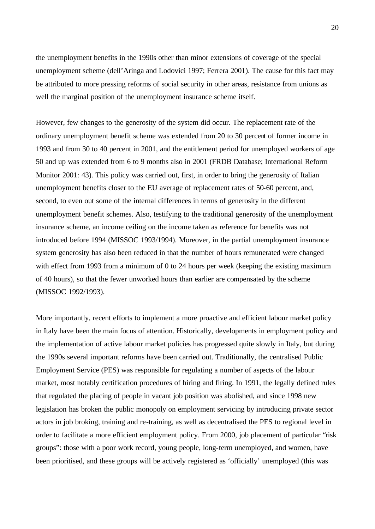the unemployment benefits in the 1990s other than minor extensions of coverage of the special unemployment scheme (dell'Aringa and Lodovici 1997; Ferrera 2001). The cause for this fact may be attributed to more pressing reforms of social security in other areas, resistance from unions as well the marginal position of the unemployment insurance scheme itself.

However, few changes to the generosity of the system did occur. The replacement rate of the ordinary unemployment benefit scheme was extended from 20 to 30 percent of former income in 1993 and from 30 to 40 percent in 2001, and the entitlement period for unemployed workers of age 50 and up was extended from 6 to 9 months also in 2001 (FRDB Database; International Reform Monitor 2001: 43). This policy was carried out, first, in order to bring the generosity of Italian unemployment benefits closer to the EU average of replacement rates of 50-60 percent, and, second, to even out some of the internal differences in terms of generosity in the different unemployment benefit schemes. Also, testifying to the traditional generosity of the unemployment insurance scheme, an income ceiling on the income taken as reference for benefits was not introduced before 1994 (MISSOC 1993/1994). Moreover, in the partial unemployment insurance system generosity has also been reduced in that the number of hours remunerated were changed with effect from 1993 from a minimum of 0 to 24 hours per week (keeping the existing maximum of 40 hours), so that the fewer unworked hours than earlier are compensated by the scheme (MISSOC 1992/1993).

More importantly, recent efforts to implement a more proactive and efficient labour market policy in Italy have been the main focus of attention. Historically, developments in employment policy and the implementation of active labour market policies has progressed quite slowly in Italy, but during the 1990s several important reforms have been carried out. Traditionally, the centralised Public Employment Service (PES) was responsible for regulating a number of aspects of the labour market, most notably certification procedures of hiring and firing. In 1991, the legally defined rules that regulated the placing of people in vacant job position was abolished, and since 1998 new legislation has broken the public monopoly on employment servicing by introducing private sector actors in job broking, training and re-training, as well as decentralised the PES to regional level in order to facilitate a more efficient employment policy. From 2000, job placement of particular "risk groups": those with a poor work record, young people, long-term unemployed, and women, have been prioritised, and these groups will be actively registered as 'officially' unemployed (this was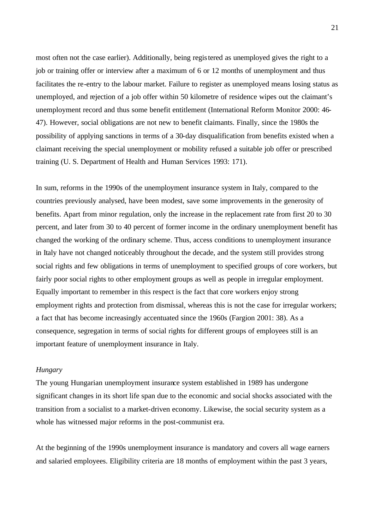most often not the case earlier). Additionally, being registered as unemployed gives the right to a job or training offer or interview after a maximum of 6 or 12 months of unemployment and thus facilitates the re-entry to the labour market. Failure to register as unemployed means losing status as unemployed, and rejection of a job offer within 50 kilometre of residence wipes out the claimant's unemployment record and thus some benefit entitlement (International Reform Monitor 2000: 46- 47). However, social obligations are not new to benefit claimants. Finally, since the 1980s the possibility of applying sanctions in terms of a 30-day disqualification from benefits existed when a claimant receiving the special unemployment or mobility refused a suitable job offer or prescribed training (U. S. Department of Health and Human Services 1993: 171).

In sum, reforms in the 1990s of the unemployment insurance system in Italy, compared to the countries previously analysed, have been modest, save some improvements in the generosity of benefits. Apart from minor regulation, only the increase in the replacement rate from first 20 to 30 percent, and later from 30 to 40 percent of former income in the ordinary unemployment benefit has changed the working of the ordinary scheme. Thus, access conditions to unemployment insurance in Italy have not changed noticeably throughout the decade, and the system still provides strong social rights and few obligations in terms of unemployment to specified groups of core workers, but fairly poor social rights to other employment groups as well as people in irregular employment. Equally important to remember in this respect is the fact that core workers enjoy strong employment rights and protection from dismissal, whereas this is not the case for irregular workers; a fact that has become increasingly accentuated since the 1960s (Fargion 2001: 38). As a consequence, segregation in terms of social rights for different groups of employees still is an important feature of unemployment insurance in Italy.

### *Hungary*

The young Hungarian unemployment insurance system established in 1989 has undergone significant changes in its short life span due to the economic and social shocks associated with the transition from a socialist to a market-driven economy. Likewise, the social security system as a whole has witnessed major reforms in the post-communist era.

At the beginning of the 1990s unemployment insurance is mandatory and covers all wage earners and salaried employees. Eligibility criteria are 18 months of employment within the past 3 years,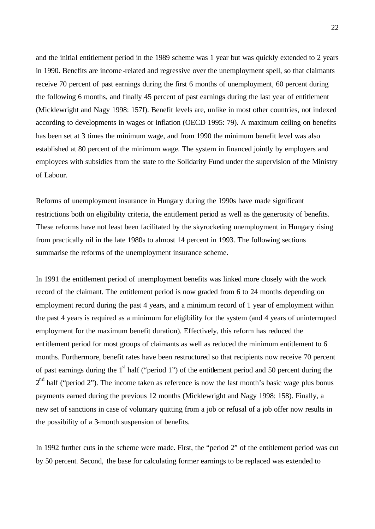and the initial entitlement period in the 1989 scheme was 1 year but was quickly extended to 2 years in 1990. Benefits are income-related and regressive over the unemployment spell, so that claimants receive 70 percent of past earnings during the first 6 months of unemployment, 60 percent during the following 6 months, and finally 45 percent of past earnings during the last year of entitlement (Micklewright and Nagy 1998: 157f). Benefit levels are, unlike in most other countries, not indexed according to developments in wages or inflation (OECD 1995: 79). A maximum ceiling on benefits has been set at 3 times the minimum wage, and from 1990 the minimum benefit level was also established at 80 percent of the minimum wage. The system in financed jointly by employers and employees with subsidies from the state to the Solidarity Fund under the supervision of the Ministry of Labour.

Reforms of unemployment insurance in Hungary during the 1990s have made significant restrictions both on eligibility criteria, the entitlement period as well as the generosity of benefits. These reforms have not least been facilitated by the skyrocketing unemployment in Hungary rising from practically nil in the late 1980s to almost 14 percent in 1993. The following sections summarise the reforms of the unemployment insurance scheme.

In 1991 the entitlement period of unemployment benefits was linked more closely with the work record of the claimant. The entitlement period is now graded from 6 to 24 months depending on employment record during the past 4 years, and a minimum record of 1 year of employment within the past 4 years is required as a minimum for eligibility for the system (and 4 years of uninterrupted employment for the maximum benefit duration). Effectively, this reform has reduced the entitlement period for most groups of claimants as well as reduced the minimum entitlement to 6 months. Furthermore, benefit rates have been restructured so that recipients now receive 70 percent of past earnings during the  $1<sup>st</sup>$  half ("period 1") of the entitlement period and 50 percent during the  $2<sup>nd</sup>$  half ("period 2"). The income taken as reference is now the last month's basic wage plus bonus payments earned during the previous 12 months (Micklewright and Nagy 1998: 158). Finally, a new set of sanctions in case of voluntary quitting from a job or refusal of a job offer now results in the possibility of a 3-month suspension of benefits.

In 1992 further cuts in the scheme were made. First, the "period 2" of the entitlement period was cut by 50 percent. Second, the base for calculating former earnings to be replaced was extended to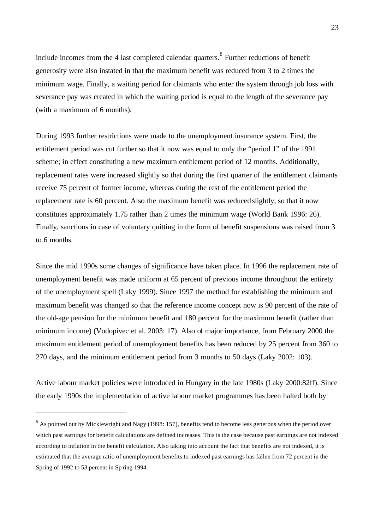include incomes from the 4 last completed calendar quarters.  $8$  Further reductions of benefit generosity were also instated in that the maximum benefit was reduced from 3 to 2 times the minimum wage. Finally, a waiting period for claimants who enter the system through job loss with severance pay was created in which the waiting period is equal to the length of the severance pay (with a maximum of 6 months).

During 1993 further restrictions were made to the unemployment insurance system. First, the entitlement period was cut further so that it now was equal to only the "period 1" of the 1991 scheme; in effect constituting a new maximum entitlement period of 12 months. Additionally, replacement rates were increased slightly so that during the first quarter of the entitlement claimants receive 75 percent of former income, whereas during the rest of the entitlement period the replacement rate is 60 percent. Also the maximum benefit was reduced slightly, so that it now constitutes approximately 1.75 rather than 2 times the minimum wage (World Bank 1996: 26). Finally, sanctions in case of voluntary quitting in the form of benefit suspensions was raised from 3 to 6 months.

Since the mid 1990s some changes of significance have taken place. In 1996 the replacement rate of unemployment benefit was made uniform at 65 percent of previous income throughout the entirety of the unemployment spell (Laky 1999). Since 1997 the method for establishing the minimum and maximum benefit was changed so that the reference income concept now is 90 percent of the rate of the old-age pension for the minimum benefit and 180 percent for the maximum benefit (rather than minimum income) (Vodopivec et al. 2003: 17). Also of major importance, from February 2000 the maximum entitlement period of unemployment benefits has been reduced by 25 percent from 360 to 270 days, and the minimum entitlement period from 3 months to 50 days (Laky 2002: 103).

Active labour market policies were introduced in Hungary in the late 1980s (Laky 2000:82ff). Since the early 1990s the implementation of active labour market programmes has been halted both by

 $8$  As pointed out by Micklewright and Nagy (1998: 157), benefits tend to become less generous when the period over which past earnings for benefit calculations are defined increases. This is the case because past earnings are not indexed according to inflation in the benefit calculation. Also taking into account the fact that benefits are not indexed, it is estimated that the average ratio of unemployment benefits to indexed past earnings has fallen from 72 percent in the Spring of 1992 to 53 percent in Sp ring 1994.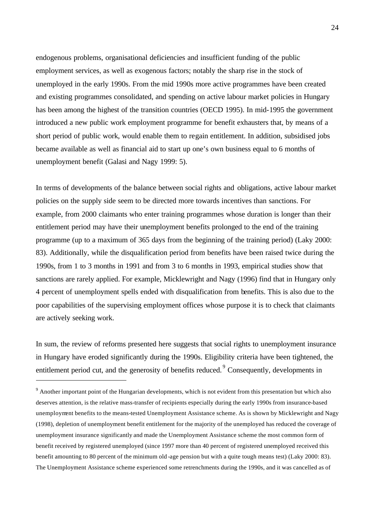endogenous problems, organisational deficiencies and insufficient funding of the public employment services, as well as exogenous factors; notably the sharp rise in the stock of unemployed in the early 1990s. From the mid 1990s more active programmes have been created and existing programmes consolidated, and spending on active labour market policies in Hungary has been among the highest of the transition countries (OECD 1995). In mid-1995 the government introduced a new public work employment programme for benefit exhausters that, by means of a short period of public work, would enable them to regain entitlement. In addition, subsidised jobs became available as well as financial aid to start up one's own business equal to 6 months of unemployment benefit (Galasi and Nagy 1999: 5).

In terms of developments of the balance between social rights and obligations, active labour market policies on the supply side seem to be directed more towards incentives than sanctions. For example, from 2000 claimants who enter training programmes whose duration is longer than their entitlement period may have their unemployment benefits prolonged to the end of the training programme (up to a maximum of 365 days from the beginning of the training period) (Laky 2000: 83). Additionally, while the disqualification period from benefits have been raised twice during the 1990s, from 1 to 3 months in 1991 and from 3 to 6 months in 1993, empirical studies show that sanctions are rarely applied. For example, Micklewright and Nagy (1996) find that in Hungary only 4 percent of unemployment spells ended with disqualification from benefits. This is also due to the poor capabilities of the supervising employment offices whose purpose it is to check that claimants are actively seeking work.

In sum, the review of reforms presented here suggests that social rights to unemployment insurance in Hungary have eroded significantly during the 1990s. Eligibility criteria have been tightened, the entitlement period cut, and the generosity of benefits reduced. <sup>9</sup> Consequently, developments in

 $9<sup>9</sup>$  Another important point of the Hungarian developments, which is not evident from this presentation but which also deserves attention, is the relative mass-transfer of recipients especially during the early 1990s from insurance-based unemployment benefits to the means-tested Unemployment Assistance scheme. As is shown by Micklewright and Nagy (1998), depletion of unemployment benefit entitlement for the majority of the unemployed has reduced the coverage of unemployment insurance significantly and made the Unemployment Assistance scheme the most common form of benefit received by registered unemployed (since 1997 more than 40 percent of registered unemployed received this benefit amounting to 80 percent of the minimum old -age pension but with a quite tough means test) (Laky 2000: 83). The Unemployment Assistance scheme experienced some retrenchments during the 1990s, and it was cancelled as of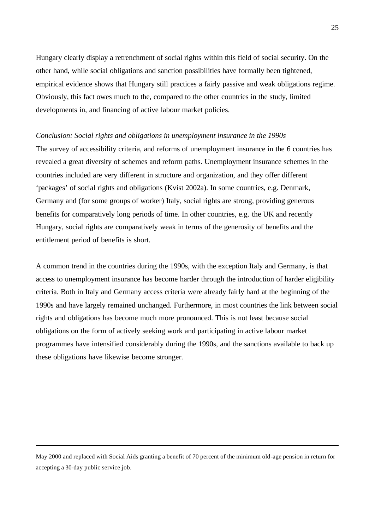Hungary clearly display a retrenchment of social rights within this field of social security. On the other hand, while social obligations and sanction possibilities have formally been tightened, empirical evidence shows that Hungary still practices a fairly passive and weak obligations regime. Obviously, this fact owes much to the, compared to the other countries in the study, limited developments in, and financing of active labour market policies.

#### *Conclusion: Social rights and obligations in unemployment insurance in the 1990s*

The survey of accessibility criteria, and reforms of unemployment insurance in the 6 countries has revealed a great diversity of schemes and reform paths. Unemployment insurance schemes in the countries included are very different in structure and organization, and they offer different 'packages' of social rights and obligations (Kvist 2002a). In some countries, e.g. Denmark, Germany and (for some groups of worker) Italy, social rights are strong, providing generous benefits for comparatively long periods of time. In other countries, e.g. the UK and recently Hungary, social rights are comparatively weak in terms of the generosity of benefits and the entitlement period of benefits is short.

A common trend in the countries during the 1990s, with the exception Italy and Germany, is that access to unemployment insurance has become harder through the introduction of harder eligibility criteria. Both in Italy and Germany access criteria were already fairly hard at the beginning of the 1990s and have largely remained unchanged. Furthermore, in most countries the link between social rights and obligations has become much more pronounced. This is not least because social obligations on the form of actively seeking work and participating in active labour market programmes have intensified considerably during the 1990s, and the sanctions available to back up these obligations have likewise become stronger.

May 2000 and replaced with Social Aids granting a benefit of 70 percent of the minimum old-age pension in return for accepting a 30-day public service job.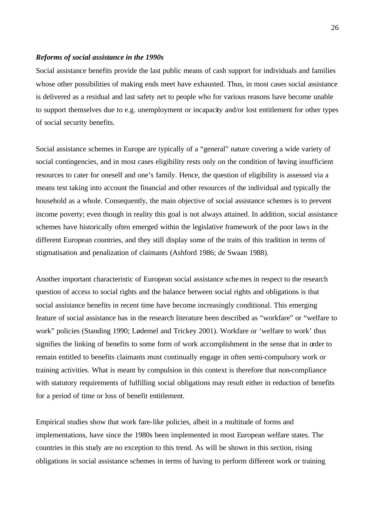#### *Reforms of social assistance in the 1990s*

Social assistance benefits provide the last public means of cash support for individuals and families whose other possibilities of making ends meet have exhausted. Thus, in most cases social assistance is delivered as a residual and last safety net to people who for various reasons have become unable to support themselves due to e.g. unemployment or incapacity and/or lost entitlement for other types of social security benefits.

Social assistance schemes in Europe are typically of a "general" nature covering a wide variety of social contingencies, and in most cases eligibility rests only on the condition of having insufficient resources to cater for oneself and one's family. Hence, the question of eligibility is assessed via a means test taking into account the financial and other resources of the individual and typically the household as a whole. Consequently, the main objective of social assistance schemes is to prevent income poverty; even though in reality this goal is not always attained. In addition, social assistance schemes have historically often emerged within the legislative framework of the poor laws in the different European countries, and they still display some of the traits of this tradition in terms of stigmatisation and penalization of claimants (Ashford 1986; de Swaan 1988).

Another important characteristic of European social assistance schemes in respect to the research question of access to social rights and the balance between social rights and obligations is that social assistance benefits in recent time have become increasingly conditional. This emerging feature of social assistance has in the research literature been described as "workfare" or "welfare to work" policies (Standing 1990; Lødemel and Trickey 2001). Workfare or 'welfare to work' thus signifies the linking of benefits to some form of work accomplishment in the sense that in order to remain entitled to benefits claimants must continually engage in often semi-compulsory work or training activities. What is meant by compulsion in this context is therefore that non-compliance with statutory requirements of fulfilling social obligations may result either in reduction of benefits for a period of time or loss of benefit entitlement.

Empirical studies show that work fare-like policies, albeit in a multitude of forms and implementations, have since the 1980s been implemented in most European welfare states. The countries in this study are no exception to this trend. As will be shown in this section, rising obligations in social assistance schemes in terms of having to perform different work or training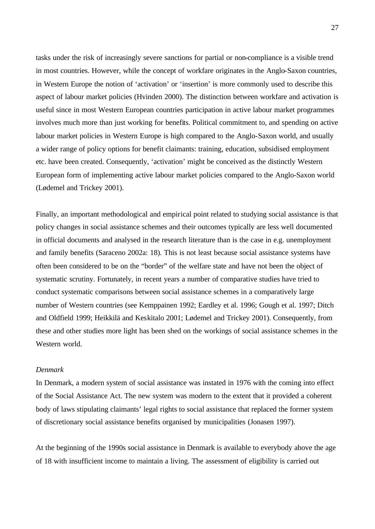tasks under the risk of increasingly severe sanctions for partial or non-compliance is a visible trend in most countries. However, while the concept of workfare originates in the Anglo-Saxon countries, in Western Europe the notion of 'activation' or 'insertion' is more commonly used to describe this aspect of labour market policies (Hvinden 2000). The distinction between workfare and activation is useful since in most Western European countries participation in active labour market programmes involves much more than just working for benefits. Political commitment to, and spending on active labour market policies in Western Europe is high compared to the Anglo-Saxon world, and usually a wider range of policy options for benefit claimants: training, education, subsidised employment etc. have been created. Consequently, 'activation' might be conceived as the distinctly Western European form of implementing active labour market policies compared to the Anglo-Saxon world (Lødemel and Trickey 2001).

Finally, an important methodological and empirical point related to studying social assistance is that policy changes in social assistance schemes and their outcomes typically are less well documented in official documents and analysed in the research literature than is the case in e.g. unemployment and family benefits (Saraceno 2002a: 18). This is not least because social assistance systems have often been considered to be on the "border" of the welfare state and have not been the object of systematic scrutiny. Fortunately, in recent years a number of comparative studies have tried to conduct systematic comparisons between social assistance schemes in a comparatively large number of Western countries (see Kemppainen 1992; Eardley et al. 1996; Gough et al. 1997; Ditch and Oldfield 1999; Heikkilä and Keskitalo 2001; Lødemel and Trickey 2001). Consequently, from these and other studies more light has been shed on the workings of social assistance schemes in the Western world.

# *Denmark*

In Denmark, a modern system of social assistance was instated in 1976 with the coming into effect of the Social Assistance Act. The new system was modern to the extent that it provided a coherent body of laws stipulating claimants' legal rights to social assistance that replaced the former system of discretionary social assistance benefits organised by municipalities (Jonasen 1997).

At the beginning of the 1990s social assistance in Denmark is available to everybody above the age of 18 with insufficient income to maintain a living. The assessment of eligibility is carried out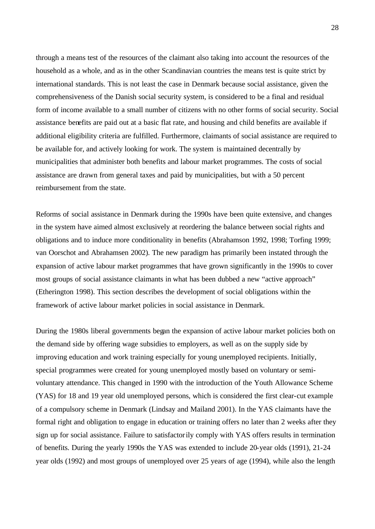through a means test of the resources of the claimant also taking into account the resources of the household as a whole, and as in the other Scandinavian countries the means test is quite strict by international standards. This is not least the case in Denmark because social assistance, given the comprehensiveness of the Danish social security system, is considered to be a final and residual form of income available to a small number of citizens with no other forms of social security. Social assistance benefits are paid out at a basic flat rate, and housing and child benefits are available if additional eligibility criteria are fulfilled. Furthermore, claimants of social assistance are required to be available for, and actively looking for work. The system is maintained decentrally by municipalities that administer both benefits and labour market programmes. The costs of social assistance are drawn from general taxes and paid by municipalities, but with a 50 percent reimbursement from the state.

Reforms of social assistance in Denmark during the 1990s have been quite extensive, and changes in the system have aimed almost exclusively at reordering the balance between social rights and obligations and to induce more conditionality in benefits (Abrahamson 1992, 1998; Torfing 1999; van Oorschot and Abrahamsen 2002). The new paradigm has primarily been instated through the expansion of active labour market programmes that have grown significantly in the 1990s to cover most groups of social assistance claimants in what has been dubbed a new "active approach" (Etherington 1998). This section describes the development of social obligations within the framework of active labour market policies in social assistance in Denmark.

During the 1980s liberal governments began the expansion of active labour market policies both on the demand side by offering wage subsidies to employers, as well as on the supply side by improving education and work training especially for young unemployed recipients. Initially, special programmes were created for young unemployed mostly based on voluntary or semivoluntary attendance. This changed in 1990 with the introduction of the Youth Allowance Scheme (YAS) for 18 and 19 year old unemployed persons, which is considered the first clear-cut example of a compulsory scheme in Denmark (Lindsay and Mailand 2001). In the YAS claimants have the formal right and obligation to engage in education or training offers no later than 2 weeks after they sign up for social assistance. Failure to satisfactorily comply with YAS offers results in termination of benefits. During the yearly 1990s the YAS was extended to include 20-year olds (1991), 21-24 year olds (1992) and most groups of unemployed over 25 years of age (1994), while also the length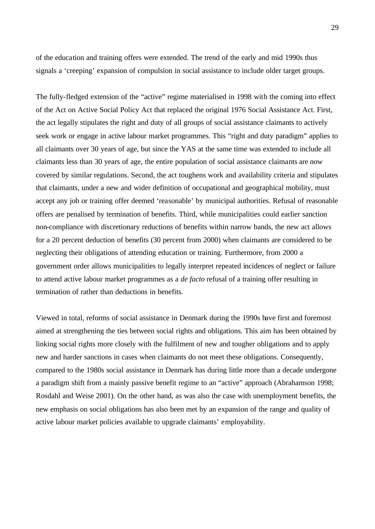of the education and training offers were extended. The trend of the early and mid 1990s thus signals a 'creeping' expansion of compulsion in social assistance to include older target groups.

The fully-fledged extension of the "active" regime materialised in 1998 with the coming into effect of the Act on Active Social Policy Act that replaced the original 1976 Social Assistance Act. First, the act legally stipulates the right and duty of all groups of social assistance claimants to actively seek work or engage in active labour market programmes. This "right and duty paradigm" applies to all claimants over 30 years of age, but since the YAS at the same time was extended to include all claimants less than 30 years of age, the entire population of social assistance claimants are now covered by similar regulations. Second, the act toughens work and availability criteria and stipulates that claimants, under a new and wider definition of occupational and geographical mobility, must accept any job or training offer deemed 'reasonable' by municipal authorities. Refusal of reasonable offers are penalised by termination of benefits. Third, while municipalities could earlier sanction non-compliance with discretionary reductions of benefits within narrow bands, the new act allows for a 20 percent deduction of benefits (30 percent from 2000) when claimants are considered to be neglecting their obligations of attending education or training. Furthermore, from 2000 a government order allows municipalities to legally interpret repeated incidences of neglect or failure to attend active labour market programmes as a *de facto* refusal of a training offer resulting in termination of rather than deductions in benefits.

Viewed in total, reforms of social assistance in Denmark during the 1990s have first and foremost aimed at strengthening the ties between social rights and obligations. This aim has been obtained by linking social rights more closely with the fulfilment of new and tougher obligations and to apply new and harder sanctions in cases when claimants do not meet these obligations. Consequently, compared to the 1980s social assistance in Denmark has during little more than a decade undergone a paradigm shift from a mainly passive benefit regime to an "active" approach (Abrahamson 1998; Rosdahl and Weise 2001). On the other hand, as was also the case with unemployment benefits, the new emphasis on social obligations has also been met by an expansion of the range and quality of active labour market policies available to upgrade claimants' employability.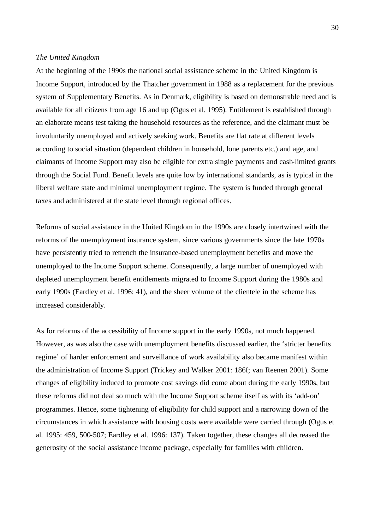### *The United Kingdom*

At the beginning of the 1990s the national social assistance scheme in the United Kingdom is Income Support, introduced by the Thatcher government in 1988 as a replacement for the previous system of Supplementary Benefits. As in Denmark, eligibility is based on demonstrable need and is available for all citizens from age 16 and up (Ogus et al. 1995). Entitlement is established through an elaborate means test taking the household resources as the reference, and the claimant must be involuntarily unemployed and actively seeking work. Benefits are flat rate at different levels according to social situation (dependent children in household, lone parents etc.) and age, and claimants of Income Support may also be eligible for extra single payments and cash-limited grants through the Social Fund. Benefit levels are quite low by international standards, as is typical in the liberal welfare state and minimal unemployment regime. The system is funded through general taxes and administered at the state level through regional offices.

Reforms of social assistance in the United Kingdom in the 1990s are closely intertwined with the reforms of the unemployment insurance system, since various governments since the late 1970s have persistently tried to retrench the insurance-based unemployment benefits and move the unemployed to the Income Support scheme. Consequently, a large number of unemployed with depleted unemployment benefit entitlements migrated to Income Support during the 1980s and early 1990s (Eardley et al. 1996: 41), and the sheer volume of the clientele in the scheme has increased considerably.

As for reforms of the accessibility of Income support in the early 1990s, not much happened. However, as was also the case with unemployment benefits discussed earlier, the 'stricter benefits regime' of harder enforcement and surveillance of work availability also became manifest within the administration of Income Support (Trickey and Walker 2001: 186f; van Reenen 2001). Some changes of eligibility induced to promote cost savings did come about during the early 1990s, but these reforms did not deal so much with the Income Support scheme itself as with its 'add-on' programmes. Hence, some tightening of eligibility for child support and a narrowing down of the circumstances in which assistance with housing costs were available were carried through (Ogus et al. 1995: 459, 500-507; Eardley et al. 1996: 137). Taken together, these changes all decreased the generosity of the social assistance income package, especially for families with children.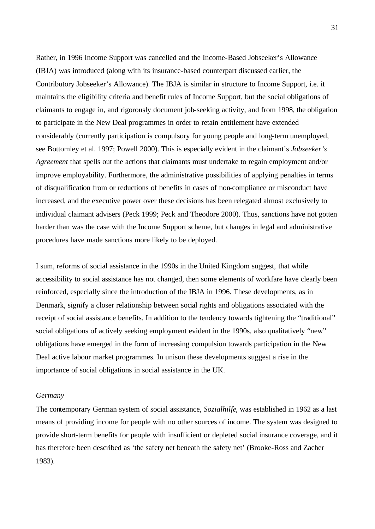Rather, in 1996 Income Support was cancelled and the Income-Based Jobseeker's Allowance (IBJA) was introduced (along with its insurance-based counterpart discussed earlier, the Contributory Jobseeker's Allowance). The IBJA is similar in structure to Income Support, i.e. it maintains the eligibility criteria and benefit rules of Income Support, but the social obligations of claimants to engage in, and rigorously document job-seeking activity, and from 1998, the obligation to participate in the New Deal programmes in order to retain entitlement have extended considerably (currently participation is compulsory for young people and long-term unemployed, see Bottomley et al. 1997; Powell 2000). This is especially evident in the claimant's *Jobseeker's Agreement* that spells out the actions that claimants must undertake to regain employment and/or improve employability. Furthermore, the administrative possibilities of applying penalties in terms of disqualification from or reductions of benefits in cases of non-compliance or misconduct have increased, and the executive power over these decisions has been relegated almost exclusively to individual claimant advisers (Peck 1999; Peck and Theodore 2000). Thus, sanctions have not gotten harder than was the case with the Income Support scheme, but changes in legal and administrative procedures have made sanctions more likely to be deployed.

I sum, reforms of social assistance in the 1990s in the United Kingdom suggest, that while accessibility to social assistance has not changed, then some elements of workfare have clearly been reinforced, especially since the introduction of the IBJA in 1996. These developments, as in Denmark, signify a closer relationship between social rights and obligations associated with the receipt of social assistance benefits. In addition to the tendency towards tightening the "traditional" social obligations of actively seeking employment evident in the 1990s, also qualitatively "new" obligations have emerged in the form of increasing compulsion towards participation in the New Deal active labour market programmes. In unison these developments suggest a rise in the importance of social obligations in social assistance in the UK.

### *Germany*

The contemporary German system of social assistance, *Sozialhilfe*, was established in 1962 as a last means of providing income for people with no other sources of income. The system was designed to provide short-term benefits for people with insufficient or depleted social insurance coverage, and it has therefore been described as 'the safety net beneath the safety net' (Brooke-Ross and Zacher 1983).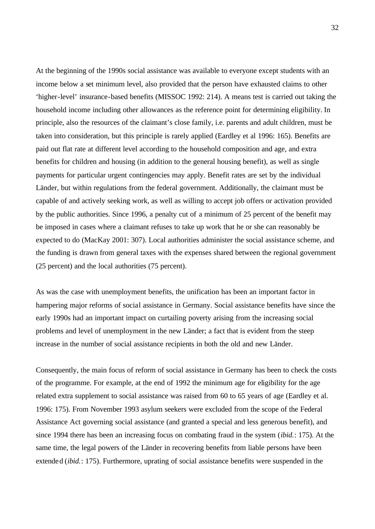At the beginning of the 1990s social assistance was available to everyone except students with an income below a set minimum level, also provided that the person have exhausted claims to other 'higher-level' insurance-based benefits (MISSOC 1992: 214). A means test is carried out taking the household income including other allowances as the reference point for determining eligibility. In principle, also the resources of the claimant's close family, i.e. parents and adult children, must be taken into consideration, but this principle is rarely applied (Eardley et al 1996: 165). Benefits are paid out flat rate at different level according to the household composition and age, and extra benefits for children and housing (in addition to the general housing benefit), as well as single payments for particular urgent contingencies may apply. Benefit rates are set by the individual Länder, but within regulations from the federal government. Additionally, the claimant must be capable of and actively seeking work, as well as willing to accept job offers or activation provided by the public authorities. Since 1996, a penalty cut of a minimum of 25 percent of the benefit may be imposed in cases where a claimant refuses to take up work that he or she can reasonably be expected to do (MacKay 2001: 307). Local authorities administer the social assistance scheme, and the funding is drawn from general taxes with the expenses shared between the regional government (25 percent) and the local authorities (75 percent).

As was the case with unemployment benefits, the unification has been an important factor in hampering major reforms of social assistance in Germany. Social assistance benefits have since the early 1990s had an important impact on curtailing poverty arising from the increasing social problems and level of unemployment in the new Länder; a fact that is evident from the steep increase in the number of social assistance recipients in both the old and new Länder.

Consequently, the main focus of reform of social assistance in Germany has been to check the costs of the programme. For example, at the end of 1992 the minimum age for eligibility for the age related extra supplement to social assistance was raised from 60 to 65 years of age (Eardley et al. 1996: 175). From November 1993 asylum seekers were excluded from the scope of the Federal Assistance Act governing social assistance (and granted a special and less generous benefit), and since 1994 there has been an increasing focus on combating fraud in the system (*ibid.*: 175). At the same time, the legal powers of the Länder in recovering benefits from liable persons have been extended (*ibid.*: 175). Furthermore, uprating of social assistance benefits were suspended in the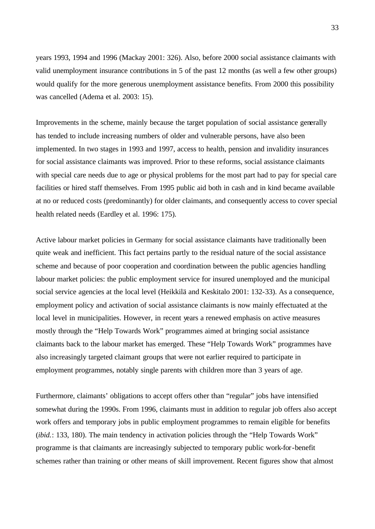years 1993, 1994 and 1996 (Mackay 2001: 326). Also, before 2000 social assistance claimants with valid unemployment insurance contributions in 5 of the past 12 months (as well a few other groups) would qualify for the more generous unemployment assistance benefits. From 2000 this possibility was cancelled (Adema et al. 2003: 15).

Improvements in the scheme, mainly because the target population of social assistance generally has tended to include increasing numbers of older and vulnerable persons, have also been implemented. In two stages in 1993 and 1997, access to health, pension and invalidity insurances for social assistance claimants was improved. Prior to these reforms, social assistance claimants with special care needs due to age or physical problems for the most part had to pay for special care facilities or hired staff themselves. From 1995 public aid both in cash and in kind became available at no or reduced costs (predominantly) for older claimants, and consequently access to cover special health related needs (Eardley et al. 1996: 175).

Active labour market policies in Germany for social assistance claimants have traditionally been quite weak and inefficient. This fact pertains partly to the residual nature of the social assistance scheme and because of poor cooperation and coordination between the public agencies handling labour market policies: the public employment service for insured unemployed and the municipal social service agencies at the local level (Heikkilä and Keskitalo 2001: 132-33). As a consequence, employment policy and activation of social assistance claimants is now mainly effectuated at the local level in municipalities. However, in recent years a renewed emphasis on active measures mostly through the "Help Towards Work" programmes aimed at bringing social assistance claimants back to the labour market has emerged. These "Help Towards Work" programmes have also increasingly targeted claimant groups that were not earlier required to participate in employment programmes, notably single parents with children more than 3 years of age.

Furthermore, claimants' obligations to accept offers other than "regular" jobs have intensified somewhat during the 1990s. From 1996, claimants must in addition to regular job offers also accept work offers and temporary jobs in public employment programmes to remain eligible for benefits (*ibid.*: 133, 180). The main tendency in activation policies through the "Help Towards Work" programme is that claimants are increasingly subjected to temporary public work-for-benefit schemes rather than training or other means of skill improvement. Recent figures show that almost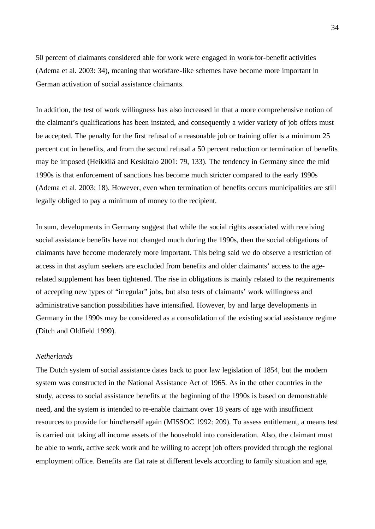50 percent of claimants considered able for work were engaged in work-for-benefit activities (Adema et al. 2003: 34), meaning that workfare-like schemes have become more important in German activation of social assistance claimants.

In addition, the test of work willingness has also increased in that a more comprehensive notion of the claimant's qualifications has been instated, and consequently a wider variety of job offers must be accepted. The penalty for the first refusal of a reasonable job or training offer is a minimum 25 percent cut in benefits, and from the second refusal a 50 percent reduction or termination of benefits may be imposed (Heikkilä and Keskitalo 2001: 79, 133). The tendency in Germany since the mid 1990s is that enforcement of sanctions has become much stricter compared to the early 1990s (Adema et al. 2003: 18). However, even when termination of benefits occurs municipalities are still legally obliged to pay a minimum of money to the recipient.

In sum, developments in Germany suggest that while the social rights associated with receiving social assistance benefits have not changed much during the 1990s, then the social obligations of claimants have become moderately more important. This being said we do observe a restriction of access in that asylum seekers are excluded from benefits and older claimants' access to the agerelated supplement has been tightened. The rise in obligations is mainly related to the requirements of accepting new types of "irregular" jobs, but also tests of claimants' work willingness and administrative sanction possibilities have intensified. However, by and large developments in Germany in the 1990s may be considered as a consolidation of the existing social assistance regime (Ditch and Oldfield 1999).

# *Netherlands*

The Dutch system of social assistance dates back to poor law legislation of 1854, but the modern system was constructed in the National Assistance Act of 1965. As in the other countries in the study, access to social assistance benefits at the beginning of the 1990s is based on demonstrable need, and the system is intended to re-enable claimant over 18 years of age with insufficient resources to provide for him/herself again (MISSOC 1992: 209). To assess entitlement, a means test is carried out taking all income assets of the household into consideration. Also, the claimant must be able to work, active seek work and be willing to accept job offers provided through the regional employment office. Benefits are flat rate at different levels according to family situation and age,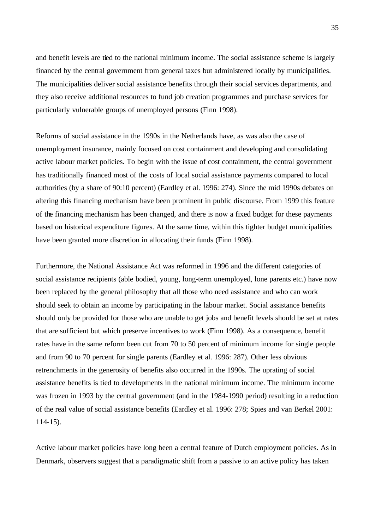and benefit levels are tied to the national minimum income. The social assistance scheme is largely financed by the central government from general taxes but administered locally by municipalities. The municipalities deliver social assistance benefits through their social services departments, and they also receive additional resources to fund job creation programmes and purchase services for particularly vulnerable groups of unemployed persons (Finn 1998).

Reforms of social assistance in the 1990s in the Netherlands have, as was also the case of unemployment insurance, mainly focused on cost containment and developing and consolidating active labour market policies. To begin with the issue of cost containment, the central government has traditionally financed most of the costs of local social assistance payments compared to local authorities (by a share of 90:10 percent) (Eardley et al. 1996: 274). Since the mid 1990s debates on altering this financing mechanism have been prominent in public discourse. From 1999 this feature of the financing mechanism has been changed, and there is now a fixed budget for these payments based on historical expenditure figures. At the same time, within this tighter budget municipalities have been granted more discretion in allocating their funds (Finn 1998).

Furthermore, the National Assistance Act was reformed in 1996 and the different categories of social assistance recipients (able bodied, young, long-term unemployed, lone parents etc.) have now been replaced by the general philosophy that all those who need assistance and who can work should seek to obtain an income by participating in the labour market. Social assistance benefits should only be provided for those who are unable to get jobs and benefit levels should be set at rates that are sufficient but which preserve incentives to work (Finn 1998). As a consequence, benefit rates have in the same reform been cut from 70 to 50 percent of minimum income for single people and from 90 to 70 percent for single parents (Eardley et al. 1996: 287). Other less obvious retrenchments in the generosity of benefits also occurred in the 1990s. The uprating of social assistance benefits is tied to developments in the national minimum income. The minimum income was frozen in 1993 by the central government (and in the 1984-1990 period) resulting in a reduction of the real value of social assistance benefits (Eardley et al. 1996: 278; Spies and van Berkel 2001: 114-15).

Active labour market policies have long been a central feature of Dutch employment policies. As in Denmark, observers suggest that a paradigmatic shift from a passive to an active policy has taken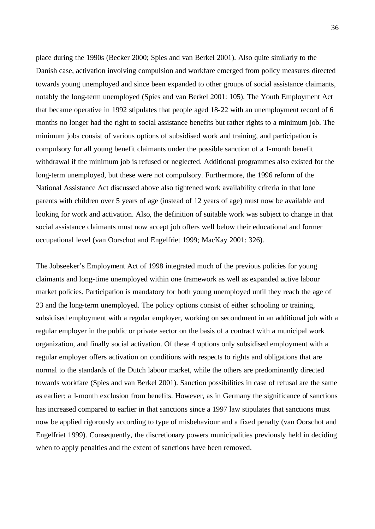place during the 1990s (Becker 2000; Spies and van Berkel 2001). Also quite similarly to the Danish case, activation involving compulsion and workfare emerged from policy measures directed towards young unemployed and since been expanded to other groups of social assistance claimants, notably the long-term unemployed (Spies and van Berkel 2001: 105). The Youth Employment Act that became operative in 1992 stipulates that people aged 18-22 with an unemployment record of 6 months no longer had the right to social assistance benefits but rather rights to a minimum job. The minimum jobs consist of various options of subsidised work and training, and participation is compulsory for all young benefit claimants under the possible sanction of a 1-month benefit withdrawal if the minimum job is refused or neglected. Additional programmes also existed for the long-term unemployed, but these were not compulsory. Furthermore, the 1996 reform of the National Assistance Act discussed above also tightened work availability criteria in that lone parents with children over 5 years of age (instead of 12 years of age) must now be available and looking for work and activation. Also, the definition of suitable work was subject to change in that social assistance claimants must now accept job offers well below their educational and former occupational level (van Oorschot and Engelfriet 1999; MacKay 2001: 326).

The Jobseeker's Employment Act of 1998 integrated much of the previous policies for young claimants and long-time unemployed within one framework as well as expanded active labour market policies. Participation is mandatory for both young unemployed until they reach the age of 23 and the long-term unemployed. The policy options consist of either schooling or training, subsidised employment with a regular employer, working on secondment in an additional job with a regular employer in the public or private sector on the basis of a contract with a municipal work organization, and finally social activation. Of these 4 options only subsidised employment with a regular employer offers activation on conditions with respects to rights and obligations that are normal to the standards of the Dutch labour market, while the others are predominantly directed towards workfare (Spies and van Berkel 2001). Sanction possibilities in case of refusal are the same as earlier: a 1-month exclusion from benefits. However, as in Germany the significance of sanctions has increased compared to earlier in that sanctions since a 1997 law stipulates that sanctions must now be applied rigorously according to type of misbehaviour and a fixed penalty (van Oorschot and Engelfriet 1999). Consequently, the discretionary powers municipalities previously held in deciding when to apply penalties and the extent of sanctions have been removed.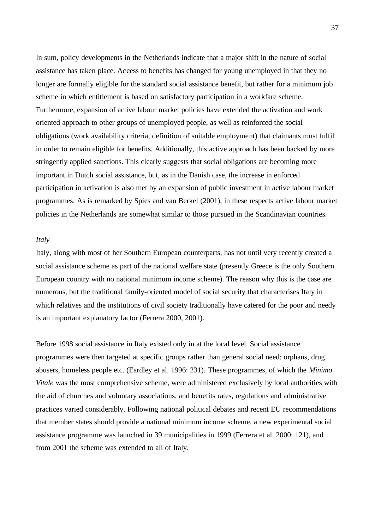In sum, policy developments in the Netherlands indicate that a major shift in the nature of social assistance has taken place. Access to benefits has changed for young unemployed in that they no longer are formally eligible for the standard social assistance benefit, but rather for a minimum job scheme in which entitlement is based on satisfactory participation in a workfare scheme. Furthermore, expansion of active labour market policies have extended the activation and work oriented approach to other groups of unemployed people, as well as reinforced the social obligations (work availability criteria, definition of suitable employment) that claimants must fulfil in order to remain eligible for benefits. Additionally, this active approach has been backed by more stringently applied sanctions. This clearly suggests that social obligations are becoming more important in Dutch social assistance, but, as in the Danish case, the increase in enforced participation in activation is also met by an expansion of public investment in active labour market programmes. As is remarked by Spies and van Berkel (2001), in these respects active labour market policies in the Netherlands are somewhat similar to those pursued in the Scandinavian countries.

# *Italy*

Italy, along with most of her Southern European counterparts, has not until very recently created a social assistance scheme as part of the national welfare state (presently Greece is the only Southern European country with no national minimum income scheme). The reason why this is the case are numerous, but the traditional family-oriented model of social security that characterises Italy in which relatives and the institutions of civil society traditionally have catered for the poor and needy is an important explanatory factor (Ferrera 2000, 2001).

Before 1998 social assistance in Italy existed only in at the local level. Social assistance programmes were then targeted at specific groups rather than general social need: orphans, drug abusers, homeless people etc. (Eardley et al. 1996: 231). These programmes, of which the *Minimo Vitale* was the most comprehensive scheme, were administered exclusively by local authorities with the aid of churches and voluntary associations, and benefits rates, regulations and administrative practices varied considerably. Following national political debates and recent EU recommendations that member states should provide a national minimum income scheme, a new experimental social assistance programme was launched in 39 municipalities in 1999 (Ferrera et al. 2000: 121), and from 2001 the scheme was extended to all of Italy.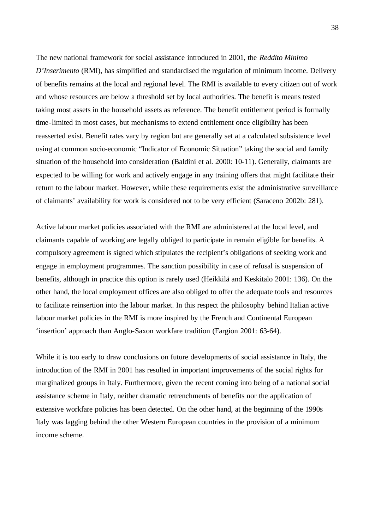The new national framework for social assistance introduced in 2001, the *Reddito Minimo D'Inserimento* (RMI), has simplified and standardised the regulation of minimum income. Delivery of benefits remains at the local and regional level. The RMI is available to every citizen out of work and whose resources are below a threshold set by local authorities. The benefit is means tested taking most assets in the household assets as reference. The benefit entitlement period is formally time-limited in most cases, but mechanisms to extend entitlement once eligibility has been reasserted exist. Benefit rates vary by region but are generally set at a calculated subsistence level using at common socio-economic "Indicator of Economic Situation" taking the social and family situation of the household into consideration (Baldini et al. 2000: 10-11). Generally, claimants are expected to be willing for work and actively engage in any training offers that might facilitate their return to the labour market. However, while these requirements exist the administrative surveillance of claimants' availability for work is considered not to be very efficient (Saraceno 2002b: 281).

Active labour market policies associated with the RMI are administered at the local level, and claimants capable of working are legally obliged to participate in remain eligible for benefits. A compulsory agreement is signed which stipulates the recipient's obligations of seeking work and engage in employment programmes. The sanction possibility in case of refusal is suspension of benefits, although in practice this option is rarely used (Heikkilä and Keskitalo 2001: 136). On the other hand, the local employment offices are also obliged to offer the adequate tools and resources to facilitate reinsertion into the labour market. In this respect the philosophy behind Italian active labour market policies in the RMI is more inspired by the French and Continental European 'insertion' approach than Anglo-Saxon workfare tradition (Fargion 2001: 63-64).

While it is too early to draw conclusions on future developments of social assistance in Italy, the introduction of the RMI in 2001 has resulted in important improvements of the social rights for marginalized groups in Italy. Furthermore, given the recent coming into being of a national social assistance scheme in Italy, neither dramatic retrenchments of benefits nor the application of extensive workfare policies has been detected. On the other hand, at the beginning of the 1990s Italy was lagging behind the other Western European countries in the provision of a minimum income scheme.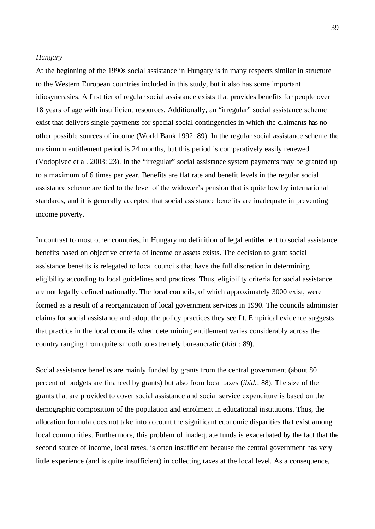### *Hungary*

At the beginning of the 1990s social assistance in Hungary is in many respects similar in structure to the Western European countries included in this study, but it also has some important idiosyncrasies. A first tier of regular social assistance exists that provides benefits for people over 18 years of age with insufficient resources. Additionally, an "irregular" social assistance scheme exist that delivers single payments for special social contingencies in which the claimants has no other possible sources of income (World Bank 1992: 89). In the regular social assistance scheme the maximum entitlement period is 24 months, but this period is comparatively easily renewed (Vodopivec et al. 2003: 23). In the "irregular" social assistance system payments may be granted up to a maximum of 6 times per year. Benefits are flat rate and benefit levels in the regular social assistance scheme are tied to the level of the widower's pension that is quite low by international standards, and it is generally accepted that social assistance benefits are inadequate in preventing income poverty.

In contrast to most other countries, in Hungary no definition of legal entitlement to social assistance benefits based on objective criteria of income or assets exists. The decision to grant social assistance benefits is relegated to local councils that have the full discretion in determining eligibility according to local guidelines and practices. Thus, eligibility criteria for social assistance are not legally defined nationally. The local councils, of which approximately 3000 exist, were formed as a result of a reorganization of local government services in 1990. The councils administer claims for social assistance and adopt the policy practices they see fit. Empirical evidence suggests that practice in the local councils when determining entitlement varies considerably across the country ranging from quite smooth to extremely bureaucratic (*ibid.*: 89).

Social assistance benefits are mainly funded by grants from the central government (about 80 percent of budgets are financed by grants) but also from local taxes (*ibid.*: 88). The size of the grants that are provided to cover social assistance and social service expenditure is based on the demographic composition of the population and enrolment in educational institutions. Thus, the allocation formula does not take into account the significant economic disparities that exist among local communities. Furthermore, this problem of inadequate funds is exacerbated by the fact that the second source of income, local taxes, is often insufficient because the central government has very little experience (and is quite insufficient) in collecting taxes at the local level. As a consequence,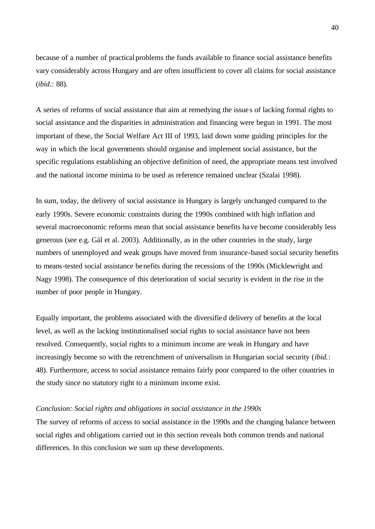because of a number of practical problems the funds available to finance social assistance benefits vary considerably across Hungary and are often insufficient to cover all claims for social assistance (*ibid.*: 88).

A series of reforms of social assistance that aim at remedying the issue s of lacking formal rights to social assistance and the disparities in administration and financing were begun in 1991. The most important of these, the Social Welfare Act III of 1993, laid down some guiding principles for the way in which the local governments should organise and implement social assistance, but the specific regulations establishing an objective definition of need, the appropriate means test involved and the national income minima to be used as reference remained unclear (Szalai 1998).

In sum, today, the delivery of social assistance in Hungary is largely unchanged compared to the early 1990s. Severe economic constraints during the 1990s combined with high inflation and several macroeconomic reforms mean that social assistance benefits have become considerably less generous (see e.g. Gál et al. 2003). Additionally, as in the other countries in the study, large numbers of unemployed and weak groups have moved from insurance-based social security benefits to means-tested social assistance benefits during the recessions of the 1990s (Micklewright and Nagy 1998). The consequence of this deterioration of social security is evident in the rise in the number of poor people in Hungary.

Equally important, the problems associated with the diversified delivery of benefits at the local level, as well as the lacking institutionalised social rights to social assistance have not been resolved. Consequently, social rights to a minimum income are weak in Hungary and have increasingly become so with the retrenchment of universalism in Hungarian social security (*ibid.*: 48). Furthermore, access to social assistance remains fairly poor compared to the other countries in the study since no statutory right to a minimum income exist.

### *Conclusion: Social rights and obligations in social assistance in the 1990s*

The survey of reforms of access to social assistance in the 1990s and the changing balance between social rights and obligations carried out in this section reveals both common trends and national differences. In this conclusion we sum up these developments.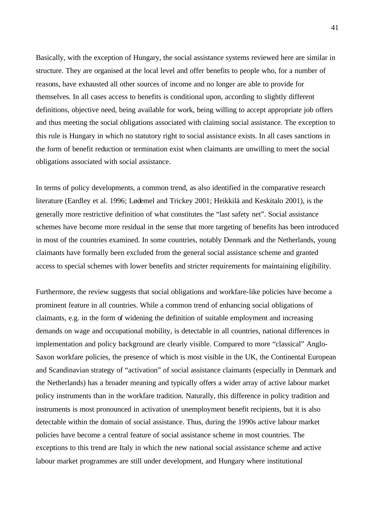Basically, with the exception of Hungary, the social assistance systems reviewed here are similar in structure. They are organised at the local level and offer benefits to people who, for a number of reasons, have exhausted all other sources of income and no longer are able to provide for themselves. In all cases access to benefits is conditional upon, according to slightly different definitions, objective need, being available for work, being willing to accept appropriate job offers and thus meeting the social obligations associated with claiming social assistance. The exception to this rule is Hungary in which no statutory right to social assistance exists. In all cases sanctions in the form of benefit reduction or termination exist when claimants are unwilling to meet the social obligations associated with social assistance.

In terms of policy developments, a common trend, as also identified in the comparative research literature (Eardley et al. 1996; Lødemel and Trickey 2001; Heikkilä and Keskitalo 2001), is the generally more restrictive definition of what constitutes the "last safety net". Social assistance schemes have become more residual in the sense that more targeting of benefits has been introduced in most of the countries examined. In some countries, notably Denmark and the Netherlands, young claimants have formally been excluded from the general social assistance scheme and granted access to special schemes with lower benefits and stricter requirements for maintaining eligibility.

Furthermore, the review suggests that social obligations and workfare-like policies have become a prominent feature in all countries. While a common trend of enhancing social obligations of claimants, e.g. in the form of widening the definition of suitable employment and increasing demands on wage and occupational mobility, is detectable in all countries, national differences in implementation and policy background are clearly visible. Compared to more "classical" Anglo-Saxon workfare policies, the presence of which is most visible in the UK, the Continental European and Scandinavian strategy of "activation" of social assistance claimants (especially in Denmark and the Netherlands) has a broader meaning and typically offers a wider array of active labour market policy instruments than in the workfare tradition. Naturally, this difference in policy tradition and instruments is most pronounced in activation of unemployment benefit recipients, but it is also detectable within the domain of social assistance. Thus, during the 1990s active labour market policies have become a central feature of social assistance scheme in most countries. The exceptions to this trend are Italy in which the new national social assistance scheme and active labour market programmes are still under development, and Hungary where institutional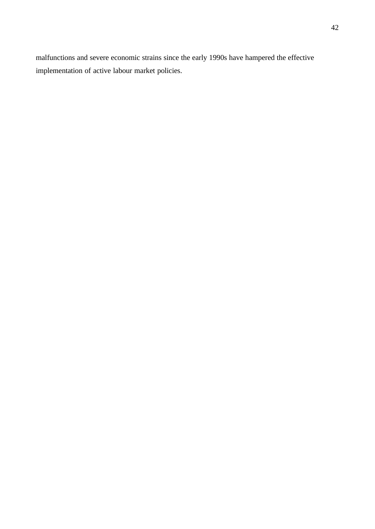malfunctions and severe economic strains since the early 1990s have hampered the effective implementation of active labour market policies.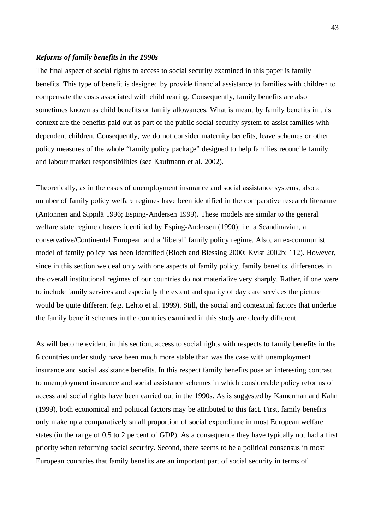# *Reforms of family benefits in the 1990s*

The final aspect of social rights to access to social security examined in this paper is family benefits. This type of benefit is designed by provide financial assistance to families with children to compensate the costs associated with child rearing. Consequently, family benefits are also sometimes known as child benefits or family allowances. What is meant by family benefits in this context are the benefits paid out as part of the public social security system to assist families with dependent children. Consequently, we do not consider maternity benefits, leave schemes or other policy measures of the whole "family policy package" designed to help families reconcile family and labour market responsibilities (see Kaufmann et al. 2002).

Theoretically, as in the cases of unemployment insurance and social assistance systems, also a number of family policy welfare regimes have been identified in the comparative research literature (Antonnen and Sippilä 1996; Esping-Andersen 1999). These models are similar to the general welfare state regime clusters identified by Esping-Andersen (1990); i.e. a Scandinavian, a conservative/Continental European and a 'liberal' family policy regime. Also, an ex-communist model of family policy has been identified (Bloch and Blessing 2000; Kvist 2002b: 112). However, since in this section we deal only with one aspects of family policy, family benefits, differences in the overall institutional regimes of our countries do not materialize very sharply. Rather, if one were to include family services and especially the extent and quality of day care services the picture would be quite different (e.g. Lehto et al. 1999). Still, the social and contextual factors that underlie the family benefit schemes in the countries examined in this study are clearly different.

As will become evident in this section, access to social rights with respects to family benefits in the 6 countries under study have been much more stable than was the case with unemployment insurance and social assistance benefits. In this respect family benefits pose an interesting contrast to unemployment insurance and social assistance schemes in which considerable policy reforms of access and social rights have been carried out in the 1990s. As is suggested by Kamerman and Kahn (1999), both economical and political factors may be attributed to this fact. First, family benefits only make up a comparatively small proportion of social expenditure in most European welfare states (in the range of 0,5 to 2 percent of GDP). As a consequence they have typically not had a first priority when reforming social security. Second, there seems to be a political consensus in most European countries that family benefits are an important part of social security in terms of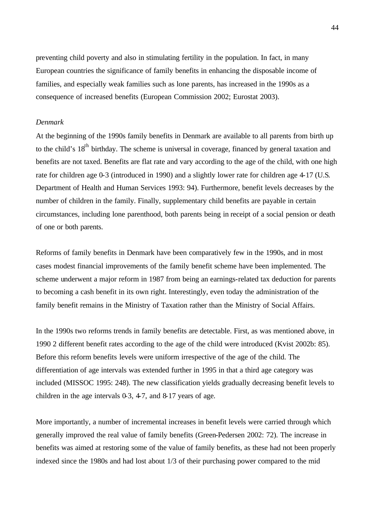preventing child poverty and also in stimulating fertility in the population. In fact, in many European countries the significance of family benefits in enhancing the disposable income of families, and especially weak families such as lone parents, has increased in the 1990s as a consequence of increased benefits (European Commission 2002; Eurostat 2003).

# *Denmark*

At the beginning of the 1990s family benefits in Denmark are available to all parents from birth up to the child's 18<sup>th</sup> birthday. The scheme is universal in coverage, financed by general taxation and benefits are not taxed. Benefits are flat rate and vary according to the age of the child, with one high rate for children age 0-3 (introduced in 1990) and a slightly lower rate for children age 4-17 (U.S. Department of Health and Human Services 1993: 94). Furthermore, benefit levels decreases by the number of children in the family. Finally, supplementary child benefits are payable in certain circumstances, including lone parenthood, both parents being in receipt of a social pension or death of one or both parents.

Reforms of family benefits in Denmark have been comparatively few in the 1990s, and in most cases modest financial improvements of the family benefit scheme have been implemented. The scheme underwent a major reform in 1987 from being an earnings-related tax deduction for parents to becoming a cash benefit in its own right. Interestingly, even today the administration of the family benefit remains in the Ministry of Taxation rather than the Ministry of Social Affairs.

In the 1990s two reforms trends in family benefits are detectable. First, as was mentioned above, in 1990 2 different benefit rates according to the age of the child were introduced (Kvist 2002b: 85). Before this reform benefits levels were uniform irrespective of the age of the child. The differentiation of age intervals was extended further in 1995 in that a third age category was included (MISSOC 1995: 248). The new classification yields gradually decreasing benefit levels to children in the age intervals  $0.3$ , 4-7, and  $8.17$  years of age.

More importantly, a number of incremental increases in benefit levels were carried through which generally improved the real value of family benefits (Green-Pedersen 2002: 72). The increase in benefits was aimed at restoring some of the value of family benefits, as these had not been properly indexed since the 1980s and had lost about 1/3 of their purchasing power compared to the mid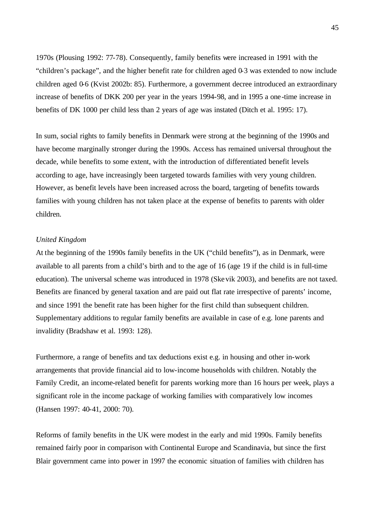1970s (Plousing 1992: 77-78). Consequently, family benefits were increased in 1991 with the "children's package", and the higher benefit rate for children aged 0-3 was extended to now include children aged 0-6 (Kvist 2002b: 85). Furthermore, a government decree introduced an extraordinary increase of benefits of DKK 200 per year in the years 1994-98, and in 1995 a one-time increase in benefits of DK 1000 per child less than 2 years of age was instated (Ditch et al. 1995: 17).

In sum, social rights to family benefits in Denmark were strong at the beginning of the 1990s and have become marginally stronger during the 1990s. Access has remained universal throughout the decade, while benefits to some extent, with the introduction of differentiated benefit levels according to age, have increasingly been targeted towards families with very young children. However, as benefit levels have been increased across the board, targeting of benefits towards families with young children has not taken place at the expense of benefits to parents with older children.

#### *United Kingdom*

At the beginning of the 1990s family benefits in the UK ("child benefits"), as in Denmark, were available to all parents from a child's birth and to the age of 16 (age 19 if the child is in full-time education). The universal scheme was introduced in 1978 (Skevik 2003), and benefits are not taxed. Benefits are financed by general taxation and are paid out flat rate irrespective of parents' income, and since 1991 the benefit rate has been higher for the first child than subsequent children. Supplementary additions to regular family benefits are available in case of e.g. lone parents and invalidity (Bradshaw et al. 1993: 128).

Furthermore, a range of benefits and tax deductions exist e.g. in housing and other in-work arrangements that provide financial aid to low-income households with children. Notably the Family Credit, an income-related benefit for parents working more than 16 hours per week, plays a significant role in the income package of working families with comparatively low incomes (Hansen 1997: 40-41, 2000: 70).

Reforms of family benefits in the UK were modest in the early and mid 1990s. Family benefits remained fairly poor in comparison with Continental Europe and Scandinavia, but since the first Blair government came into power in 1997 the economic situation of families with children has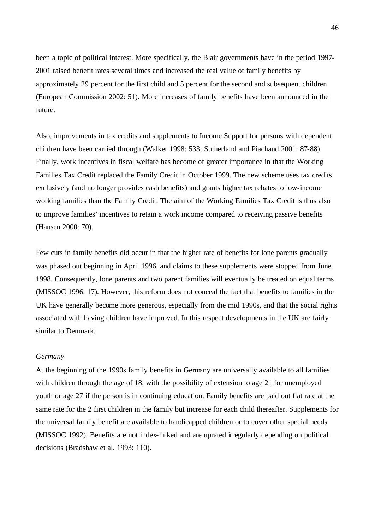been a topic of political interest. More specifically, the Blair governments have in the period 1997- 2001 raised benefit rates several times and increased the real value of family benefits by approximately 29 percent for the first child and 5 percent for the second and subsequent children (European Commission 2002: 51). More increases of family benefits have been announced in the future.

Also, improvements in tax credits and supplements to Income Support for persons with dependent children have been carried through (Walker 1998: 533; Sutherland and Piachaud 2001: 87-88). Finally, work incentives in fiscal welfare has become of greater importance in that the Working Families Tax Credit replaced the Family Credit in October 1999. The new scheme uses tax credits exclusively (and no longer provides cash benefits) and grants higher tax rebates to low-income working families than the Family Credit. The aim of the Working Families Tax Credit is thus also to improve families' incentives to retain a work income compared to receiving passive benefits (Hansen 2000: 70).

Few cuts in family benefits did occur in that the higher rate of benefits for lone parents gradually was phased out beginning in April 1996, and claims to these supplements were stopped from June 1998. Consequently, lone parents and two parent families will eventually be treated on equal terms (MISSOC 1996: 17). However, this reform does not conceal the fact that benefits to families in the UK have generally become more generous, especially from the mid 1990s, and that the social rights associated with having children have improved. In this respect developments in the UK are fairly similar to Denmark.

# *Germany*

At the beginning of the 1990s family benefits in Germany are universally available to all families with children through the age of 18, with the possibility of extension to age 21 for unemployed youth or age 27 if the person is in continuing education. Family benefits are paid out flat rate at the same rate for the 2 first children in the family but increase for each child thereafter. Supplements for the universal family benefit are available to handicapped children or to cover other special needs (MISSOC 1992). Benefits are not index-linked and are uprated irregularly depending on political decisions (Bradshaw et al. 1993: 110).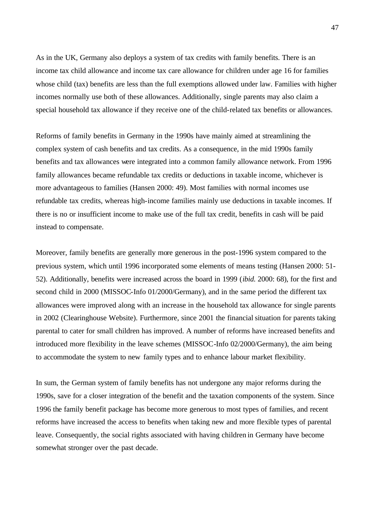As in the UK, Germany also deploys a system of tax credits with family benefits. There is an income tax child allowance and income tax care allowance for children under age 16 for families whose child (tax) benefits are less than the full exemptions allowed under law. Families with higher incomes normally use both of these allowances. Additionally, single parents may also claim a special household tax allowance if they receive one of the child-related tax benefits or allowances.

Reforms of family benefits in Germany in the 1990s have mainly aimed at streamlining the complex system of cash benefits and tax credits. As a consequence, in the mid 1990s family benefits and tax allowances were integrated into a common family allowance network. From 1996 family allowances became refundable tax credits or deductions in taxable income, whichever is more advantageous to families (Hansen 2000: 49). Most families with normal incomes use refundable tax credits, whereas high-income families mainly use deductions in taxable incomes. If there is no or insufficient income to make use of the full tax credit, benefits in cash will be paid instead to compensate.

Moreover, family benefits are generally more generous in the post-1996 system compared to the previous system, which until 1996 incorporated some elements of means testing (Hansen 2000: 51- 52). Additionally, benefits were increased across the board in 1999 (*ibid.* 2000: 68), for the first and second child in 2000 (MISSOC-Info 01/2000/Germany), and in the same period the different tax allowances were improved along with an increase in the household tax allowance for single parents in 2002 (Clearinghouse Website). Furthermore, since 2001 the financial situation for parents taking parental to cater for small children has improved. A number of reforms have increased benefits and introduced more flexibility in the leave schemes (MISSOC-Info 02/2000/Germany), the aim being to accommodate the system to new family types and to enhance labour market flexibility.

In sum, the German system of family benefits has not undergone any major reforms during the 1990s, save for a closer integration of the benefit and the taxation components of the system. Since 1996 the family benefit package has become more generous to most types of families, and recent reforms have increased the access to benefits when taking new and more flexible types of parental leave. Consequently, the social rights associated with having children in Germany have become somewhat stronger over the past decade.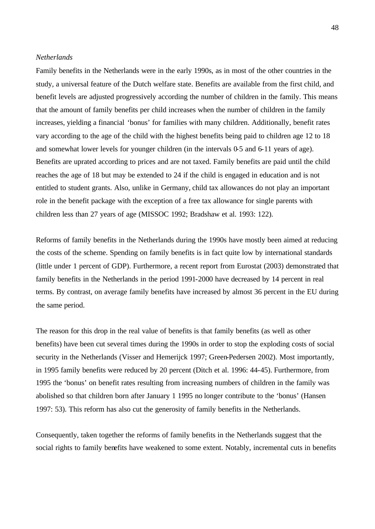#### *Netherlands*

Family benefits in the Netherlands were in the early 1990s, as in most of the other countries in the study, a universal feature of the Dutch welfare state. Benefits are available from the first child, and benefit levels are adjusted progressively according the number of children in the family. This means that the amount of family benefits per child increases when the number of children in the family increases, yielding a financial 'bonus' for families with many children. Additionally, benefit rates vary according to the age of the child with the highest benefits being paid to children age 12 to 18 and somewhat lower levels for younger children (in the intervals 0-5 and 6-11 years of age). Benefits are uprated according to prices and are not taxed. Family benefits are paid until the child reaches the age of 18 but may be extended to 24 if the child is engaged in education and is not entitled to student grants. Also, unlike in Germany, child tax allowances do not play an important role in the benefit package with the exception of a free tax allowance for single parents with children less than 27 years of age (MISSOC 1992; Bradshaw et al. 1993: 122).

Reforms of family benefits in the Netherlands during the 1990s have mostly been aimed at reducing the costs of the scheme. Spending on family benefits is in fact quite low by international standards (little under 1 percent of GDP). Furthermore, a recent report from Eurostat (2003) demonstrated that family benefits in the Netherlands in the period 1991-2000 have decreased by 14 percent in real terms. By contrast, on average family benefits have increased by almost 36 percent in the EU during the same period.

The reason for this drop in the real value of benefits is that family benefits (as well as other benefits) have been cut several times during the 1990s in order to stop the exploding costs of social security in the Netherlands (Visser and Hemerijck 1997; Green-Pedersen 2002). Most importantly, in 1995 family benefits were reduced by 20 percent (Ditch et al. 1996: 44-45). Furthermore, from 1995 the 'bonus' on benefit rates resulting from increasing numbers of children in the family was abolished so that children born after January 1 1995 no longer contribute to the 'bonus' (Hansen 1997: 53). This reform has also cut the generosity of family benefits in the Netherlands.

Consequently, taken together the reforms of family benefits in the Netherlands suggest that the social rights to family benefits have weakened to some extent. Notably, incremental cuts in benefits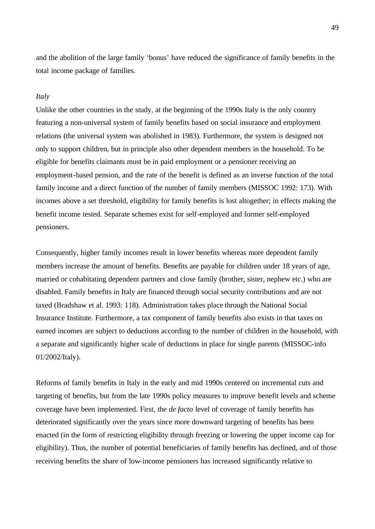and the abolition of the large family 'bonus' have reduced the significance of family benefits in the total income package of families.

### *Italy*

Unlike the other countries in the study, at the beginning of the 1990s Italy is the only country featuring a non-universal system of family benefits based on social insurance and employment relations (the universal system was abolished in 1983). Furthermore, the system is designed not only to support children, but in principle also other dependent members in the household. To be eligible for benefits claimants must be in paid employment or a pensioner receiving an employment-based pension, and the rate of the benefit is defined as an inverse function of the total family income and a direct function of the number of family members (MISSOC 1992: 173). With incomes above a set threshold, eligibility for family benefits is lost altogether; in effects making the benefit income tested. Separate schemes exist for self-employed and former self-employed pensioners.

Consequently, higher family incomes result in lower benefits whereas more dependent family members increase the amount of benefits. Benefits are payable for children under 18 years of age, married or cohabitating dependent partners and close family (brother, sister, nephew etc.) who are disabled. Family benefits in Italy are financed through social security contributions and are not taxed (Bradshaw et al. 1993: 118). Administration takes place through the National Social Insurance Institute. Furthermore, a tax component of family benefits also exists in that taxes on earned incomes are subject to deductions according to the number of children in the household, with a separate and significantly higher scale of deductions in place for single parents (MISSOC-info 01/2002/Italy).

Reforms of family benefits in Italy in the early and mid 1990s centered on incremental cuts and targeting of benefits, but from the late 1990s policy measures to improve benefit levels and scheme coverage have been implemented. First, the *de facto* level of coverage of family benefits has deteriorated significantly over the years since more downward targeting of benefits has been enacted (in the form of restricting eligibility through freezing or lowering the upper income cap for eligibility). Thus, the number of potential beneficiaries of family benefits has declined, and of those receiving benefits the share of low-income pensioners has increased significantly relative to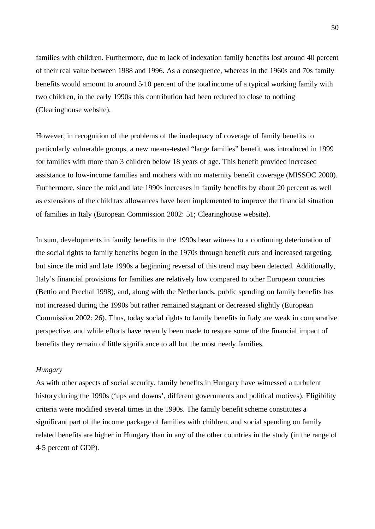families with children. Furthermore, due to lack of indexation family benefits lost around 40 percent of their real value between 1988 and 1996. As a consequence, whereas in the 1960s and 70s family benefits would amount to around 5-10 percent of the total income of a typical working family with two children, in the early 1990s this contribution had been reduced to close to nothing (Clearinghouse website).

However, in recognition of the problems of the inadequacy of coverage of family benefits to particularly vulnerable groups, a new means-tested "large families" benefit was introduced in 1999 for families with more than 3 children below 18 years of age. This benefit provided increased assistance to low-income families and mothers with no maternity benefit coverage (MISSOC 2000). Furthermore, since the mid and late 1990s increases in family benefits by about 20 percent as well as extensions of the child tax allowances have been implemented to improve the financial situation of families in Italy (European Commission 2002: 51; Clearinghouse website).

In sum, developments in family benefits in the 1990s bear witness to a continuing deterioration of the social rights to family benefits begun in the 1970s through benefit cuts and increased targeting, but since the mid and late 1990s a beginning reversal of this trend may been detected. Additionally, Italy's financial provisions for families are relatively low compared to other European countries (Bettio and Prechal 1998), and, along with the Netherlands, public spending on family benefits has not increased during the 1990s but rather remained stagnant or decreased slightly (European Commission 2002: 26). Thus, today social rights to family benefits in Italy are weak in comparative perspective, and while efforts have recently been made to restore some of the financial impact of benefits they remain of little significance to all but the most needy families.

#### *Hungary*

As with other aspects of social security, family benefits in Hungary have witnessed a turbulent history during the 1990s ('ups and downs', different governments and political motives). Eligibility criteria were modified several times in the 1990s. The family benefit scheme constitutes a significant part of the income package of families with children, and social spending on family related benefits are higher in Hungary than in any of the other countries in the study (in the range of 4-5 percent of GDP).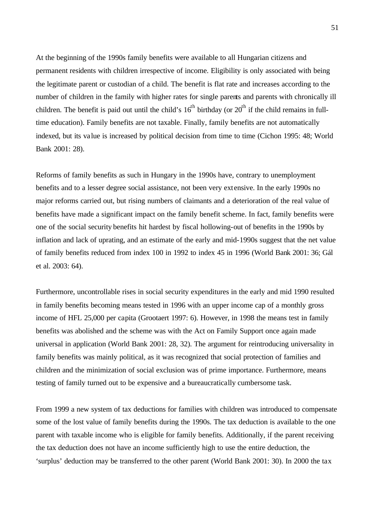At the beginning of the 1990s family benefits were available to all Hungarian citizens and permanent residents with children irrespective of income. Eligibility is only associated with being the legitimate parent or custodian of a child. The benefit is flat rate and increases according to the number of children in the family with higher rates for single parents and parents with chronically ill children. The benefit is paid out until the child's  $16<sup>th</sup>$  birthday (or  $20<sup>th</sup>$  if the child remains in fulltime education). Family benefits are not taxable. Finally, family benefits are not automatically indexed, but its value is increased by political decision from time to time (Cichon 1995: 48; World Bank 2001: 28).

Reforms of family benefits as such in Hungary in the 1990s have, contrary to unemployment benefits and to a lesser degree social assistance, not been very extensive. In the early 1990s no major reforms carried out, but rising numbers of claimants and a deterioration of the real value of benefits have made a significant impact on the family benefit scheme. In fact, family benefits were one of the social security benefits hit hardest by fiscal hollowing-out of benefits in the 1990s by inflation and lack of uprating, and an estimate of the early and mid-1990s suggest that the net value of family benefits reduced from index 100 in 1992 to index 45 in 1996 (World Bank 2001: 36; Gál et al. 2003: 64).

Furthermore, uncontrollable rises in social security expenditures in the early and mid 1990 resulted in family benefits becoming means tested in 1996 with an upper income cap of a monthly gross income of HFL 25,000 per capita (Grootaert 1997: 6). However, in 1998 the means test in family benefits was abolished and the scheme was with the Act on Family Support once again made universal in application (World Bank 2001: 28, 32). The argument for reintroducing universality in family benefits was mainly political, as it was recognized that social protection of families and children and the minimization of social exclusion was of prime importance. Furthermore, means testing of family turned out to be expensive and a bureaucratically cumbersome task.

From 1999 a new system of tax deductions for families with children was introduced to compensate some of the lost value of family benefits during the 1990s. The tax deduction is available to the one parent with taxable income who is eligible for family benefits. Additionally, if the parent receiving the tax deduction does not have an income sufficiently high to use the entire deduction, the 'surplus' deduction may be transferred to the other parent (World Bank 2001: 30). In 2000 the tax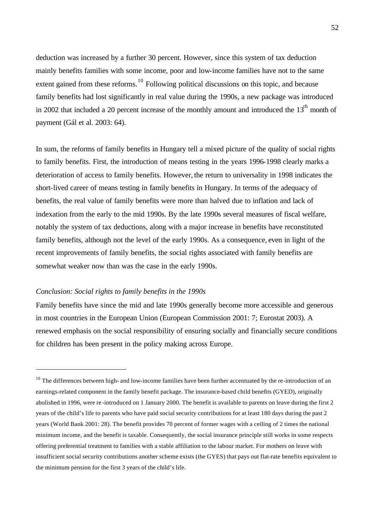deduction was increased by a further 30 percent. However, since this system of tax deduction mainly benefits families with some income, poor and low-income families have not to the same extent gained from these reforms.<sup>10</sup> Following political discussions on this topic, and because family benefits had lost significantly in real value during the 1990s, a new package was introduced in 2002 that included a 20 percent increase of the monthly amount and introduced the  $13<sup>th</sup>$  month of payment (Gál et al. 2003: 64).

In sum, the reforms of family benefits in Hungary tell a mixed picture of the quality of social rights to family benefits. First, the introduction of means testing in the years 1996-1998 clearly marks a deterioration of access to family benefits. However, the return to universality in 1998 indicates the short-lived career of means testing in family benefits in Hungary. In terms of the adequacy of benefits, the real value of family benefits were more than halved due to inflation and lack of indexation from the early to the mid 1990s. By the late 1990s several measures of fiscal welfare, notably the system of tax deductions, along with a major increase in benefits have reconstituted family benefits, although not the level of the early 1990s. As a consequence, even in light of the recent improvements of family benefits, the social rights associated with family benefits are somewhat weaker now than was the case in the early 1990s.

### *Conclusion: Social rights to family benefits in the 1990s*

j

Family benefits have since the mid and late 1990s generally become more accessible and generous in most countries in the European Union (European Commission 2001: 7; Eurostat 2003). A renewed emphasis on the social responsibility of ensuring socially and financially secure conditions for children has been present in the policy making across Europe.

 $10$  The differences between high- and low-income families have been further accentuated by the re-introduction of an earnings-related component in the family benefit package. The insurance-based child benefits (GYED), originally abolished in 1996, were re -introduced on 1 January 2000. The benefit is available to parents on leave during the first 2 years of the child's life to parents who have paid social security contributions for at least 180 days during the past 2 years (World Bank 2001: 28). The benefit provides 70 percent of former wages with a ceiling of 2 times the national minimum income, and the benefit is taxable. Consequently, the social insurance principle still works in some respects offering preferential treatment to families with a stable affiliation to the labour market. For mothers on leave with insufficient social security contributions another scheme exists (the GYES) that pays out flat-rate benefits equivalent to the minimum pension for the first 3 years of the child's life.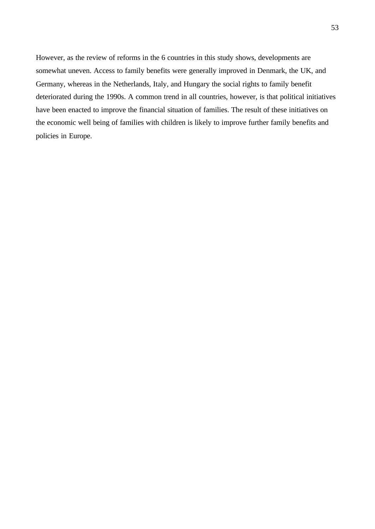However, as the review of reforms in the 6 countries in this study shows, developments are somewhat uneven. Access to family benefits were generally improved in Denmark, the UK, and Germany, whereas in the Netherlands, Italy, and Hungary the social rights to family benefit deteriorated during the 1990s. A common trend in all countries, however, is that political initiatives have been enacted to improve the financial situation of families. The result of these initiatives on the economic well being of families with children is likely to improve further family benefits and policies in Europe.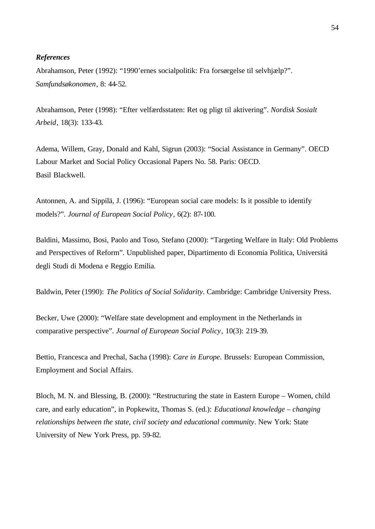### *References*

Abrahamson, Peter (1992): "1990'ernes socialpolitik: Fra forsørgelse til selvhjælp?". *Samfundsøkonomen*, 8: 44-52.

Abrahamson, Peter (1998): "Efter velfærdsstaten: Ret og pligt til aktivering". *Nordisk Sosialt Arbeid*, 18(3): 133-43.

Adema, Willem, Gray, Donald and Kahl, Sigrun (2003): "Social Assistance in Germany". OECD Labour Market and Social Policy Occasional Papers No. 58. Paris: OECD. Basil Blackwell.

Antonnen, A. and Sippilä, J. (1996): "European social care models: Is it possible to identify models?". *Journal of European Social Policy*, 6(2): 87-100.

Baldini, Massimo, Bosi, Paolo and Toso, Stefano (2000): "Targeting Welfare in Italy: Old Problems and Perspectives of Reform". Unpublished paper, Dipartimento di Economia Politica, Universitá degli Studi di Modena e Reggio Emilia.

Baldwin, Peter (1990): *The Politics of Social Solidarity*. Cambridge: Cambridge University Press.

Becker, Uwe (2000): "Welfare state development and employment in the Netherlands in comparative perspective". *Journal of European Social Policy*, 10(3): 219-39.

Bettio, Francesca and Prechal, Sacha (1998): *Care in Europe*. Brussels: European Commission, Employment and Social Affairs.

Bloch, M. N. and Blessing, B. (2000): "Restructuring the state in Eastern Europe – Women, child care, and early education", in Popkewitz, Thomas S. (ed.): *Educational knowledge – changing relationships between the state, civil society and educational community*. New York: State University of New York Press, pp. 59-82.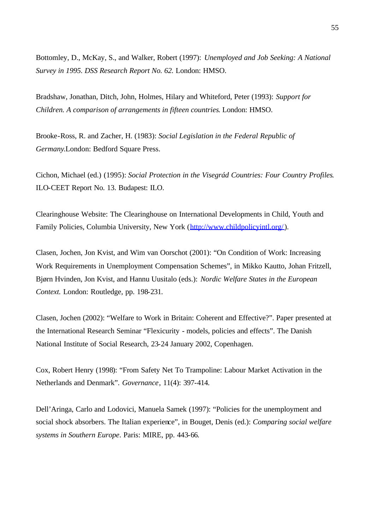Bottomley, D., McKay, S., and Walker, Robert (1997): *Unemployed and Job Seeking: A National Survey in 1995. DSS Research Report No. 62.* London: HMSO.

Bradshaw, Jonathan, Ditch, John, Holmes, Hilary and Whiteford, Peter (1993): *Support for Children. A comparison of arrangements in fifteen countries*. London: HMSO.

Brooke-Ross, R. and Zacher, H. (1983): *Social Legislation in the Federal Republic of Germany*.London: Bedford Square Press.

Cichon, Michael (ed.) (1995): *Social Protection in the Visegrád Countries: Four Country Profiles*. ILO-CEET Report No. 13. Budapest: ILO.

Clearinghouse Website: The Clearinghouse on International Developments in Child, Youth and Family Policies, Columbia University, New York (http://www.childpolicyintl.org/).

Clasen, Jochen, Jon Kvist, and Wim van Oorschot (2001): "On Condition of Work: Increasing Work Requirements in Unemployment Compensation Schemes", in Mikko Kautto, Johan Fritzell, Bjørn Hvinden, Jon Kvist, and Hannu Uusitalo (eds.): *Nordic Welfare States in the European Context.* London: Routledge, pp. 198-231.

Clasen, Jochen (2002): "Welfare to Work in Britain: Coherent and Effective?". Paper presented at the International Research Seminar "Flexicurity - models, policies and effects". The Danish National Institute of Social Research, 23-24 January 2002, Copenhagen.

Cox, Robert Henry (1998): "From Safety Net To Trampoline: Labour Market Activation in the Netherlands and Denmark". *Governance*, 11(4): 397-414.

Dell'Aringa, Carlo and Lodovici, Manuela Samek (1997): "Policies for the unemployment and social shock absorbers. The Italian experience", in Bouget, Denis (ed.): *Comparing social welfare systems in Southern Europe*. Paris: MIRE, pp. 443-66.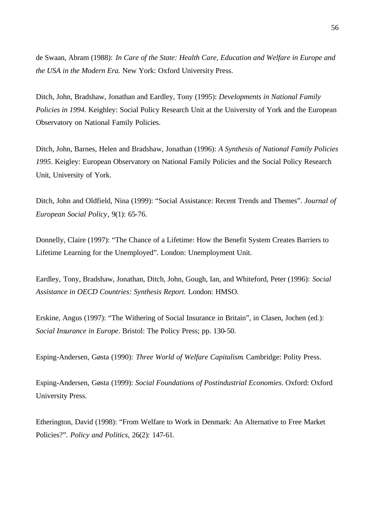de Swaan, Abram (1988): *In Care of the State: Health Care, Education and Welfare in Europe and the USA in the Modern Era.* New York: Oxford University Press.

Ditch, John, Bradshaw, Jonathan and Eardley, Tony (1995): *Developments in National Family Policies in 1994*. Keighley: Social Policy Research Unit at the University of York and the European Observatory on National Family Policies.

Ditch, John, Barnes, Helen and Bradshaw, Jonathan (1996): *A Synthesis of National Family Policies 1995*. Keigley: European Observatory on National Family Policies and the Social Policy Research Unit, University of York.

Ditch, John and Oldfield, Nina (1999): "Social Assistance: Recent Trends and Themes". *Journal of European Social Policy*, 9(1): 65-76.

Donnelly, Claire (1997): "The Chance of a Lifetime: How the Benefit System Creates Barriers to Lifetime Learning for the Unemployed". London: Unemployment Unit.

Eardley, Tony, Bradshaw, Jonathan, Ditch, John, Gough, Ian, and Whiteford, Peter (1996): *Social Assistance in OECD Countries: Synthesis Report.* London: HMSO.

Erskine, Angus (1997): "The Withering of Social Insurance in Britain", in Clasen, Jochen (ed.): *Social Insurance in Europe*. Bristol: The Policy Press; pp. 130-50.

Esping-Andersen, Gøsta (1990): *Three World of Welfare Capitalism*. Cambridge: Polity Press.

Esping-Andersen, Gøsta (1999): *Social Foundations of Postindustrial Economies*. Oxford: Oxford University Press.

Etherington, David (1998): "From Welfare to Work in Denmark: An Alternative to Free Market Policies?". *Policy and Politics*, 26(2): 147-61.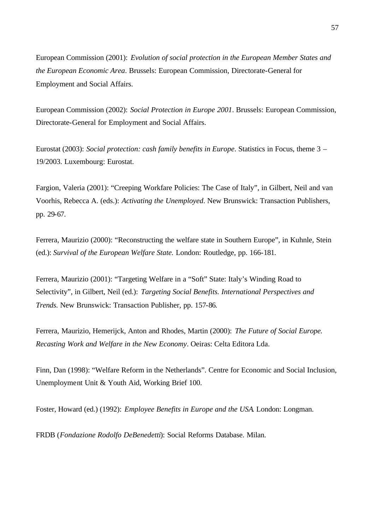European Commission (2001): *Evolution of social protection in the European Member States and the European Economic Area*. Brussels: European Commission, Directorate-General for Employment and Social Affairs.

European Commission (2002): *Social Protection in Europe 2001*. Brussels: European Commission, Directorate-General for Employment and Social Affairs.

Eurostat (2003): *Social protection: cash family benefits in Europe*. Statistics in Focus, theme 3 – 19/2003. Luxembourg: Eurostat.

Fargion, Valeria (2001): "Creeping Workfare Policies: The Case of Italy", in Gilbert, Neil and van Voorhis, Rebecca A. (eds.): *Activating the Unemployed*. New Brunswick: Transaction Publishers, pp. 29-67.

Ferrera, Maurizio (2000): "Reconstructing the welfare state in Southern Europe", in Kuhnle, Stein (ed.): *Survival of the European Welfare State.* London: Routledge, pp. 166-181.

Ferrera, Maurizio (2001): "Targeting Welfare in a "Soft" State: Italy's Winding Road to Selectivity", in Gilbert, Neil (ed.): *Targeting Social Benefits. International Perspectives and Trends*. New Brunswick: Transaction Publisher, pp. 157-86.

Ferrera, Maurizio, Hemerijck, Anton and Rhodes, Martin (2000): *The Future of Social Europe. Recasting Work and Welfare in the New Economy*. Oeiras: Celta Editora Lda.

Finn, Dan (1998): "Welfare Reform in the Netherlands". Centre for Economic and Social Inclusion, Unemployment Unit & Youth Aid, Working Brief 100.

Foster, Howard (ed.) (1992): *Employee Benefits in Europe and the USA*. London: Longman.

FRDB (*Fondazione Rodolfo DeBenedetti*): Social Reforms Database. Milan.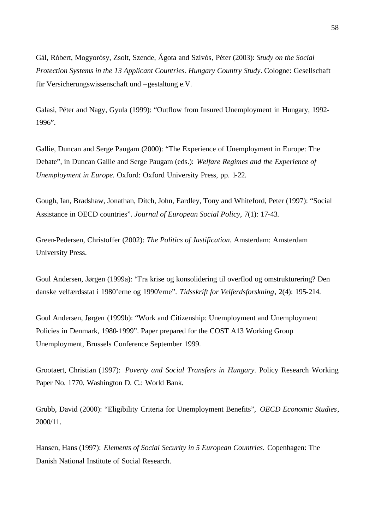Gál, Róbert, Mogyorósy, Zsolt, Szende, Ágota and Szivós, Péter (2003): *Study on the Social Protection Systems in the 13 Applicant Countries. Hungary Country Study*. Cologne: Gesellschaft für Versicherungswissenschaft und –gestaltung e.V.

Galasi, Péter and Nagy, Gyula (1999): "Outflow from Insured Unemployment in Hungary, 1992- 1996".

Gallie, Duncan and Serge Paugam (2000): "The Experience of Unemployment in Europe: The Debate", in Duncan Gallie and Serge Paugam (eds.): *Welfare Regimes and the Experience of Unemployment in Europe.* Oxford: Oxford University Press, pp. 1-22.

Gough, Ian, Bradshaw, Jonathan, Ditch, John, Eardley, Tony and Whiteford, Peter (1997): "Social Assistance in OECD countries". *Journal of European Social Policy*, 7(1): 17-43.

Green-Pedersen, Christoffer (2002): *The Politics of Justification*. Amsterdam: Amsterdam University Press.

Goul Andersen, Jørgen (1999a): "Fra krise og konsolidering til overflod og omstrukturering? Den danske velfærdsstat i 1980'erne og 1990'erne". *Tidsskrift for Velferdsforskning*, 2(4): 195-214.

Goul Andersen, Jørgen (1999b): "Work and Citizenship: Unemployment and Unemployment Policies in Denmark, 1980-1999". Paper prepared for the COST A13 Working Group Unemployment, Brussels Conference September 1999.

Grootaert, Christian (1997): *Poverty and Social Transfers in Hungary*. Policy Research Working Paper No. 1770. Washington D. C.: World Bank.

Grubb, David (2000): "Eligibility Criteria for Unemployment Benefits", *OECD Economic Studies*, 2000/11.

Hansen, Hans (1997): *Elements of Social Security in 5 European Countries*. Copenhagen: The Danish National Institute of Social Research.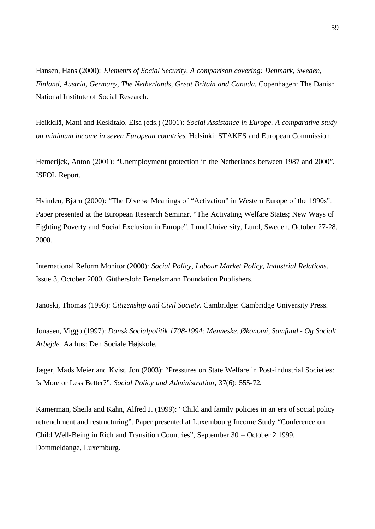Hansen, Hans (2000): *Elements of Social Security. A comparison covering: Denmark, Sweden, Finland, Austria, Germany, The Netherlands, Great Britain and Canada.* Copenhagen: The Danish National Institute of Social Research.

Heikkilä, Matti and Keskitalo, Elsa (eds.) (2001): *Social Assistance in Europe. A comparative study on minimum income in seven European countries*. Helsinki: STAKES and European Commission.

Hemerijck, Anton (2001): "Unemployment protection in the Netherlands between 1987 and 2000". ISFOL Report.

Hvinden, Bjørn (2000): "The Diverse Meanings of "Activation" in Western Europe of the 1990s". Paper presented at the European Research Seminar, "The Activating Welfare States; New Ways of Fighting Poverty and Social Exclusion in Europe". Lund University, Lund, Sweden, October 27-28, 2000.

International Reform Monitor (2000): *Social Policy, Labour Market Policy, Industrial Relations*. Issue 3, October 2000. Güthersloh: Bertelsmann Foundation Publishers.

Janoski, Thomas (1998): *Citizenship and Civil Society*. Cambridge: Cambridge University Press.

Jonasen, Viggo (1997): *Dansk Socialpolitik 1708-1994: Menneske, Økonomi, Samfund - Og Socialt Arbejde.* Aarhus: Den Sociale Højskole.

Jæger, Mads Meier and Kvist, Jon (2003): "Pressures on State Welfare in Post-industrial Societies: Is More or Less Better?". *Social Policy and Administration*, 37(6): 555-72.

Kamerman, Sheila and Kahn, Alfred J. (1999): "Child and family policies in an era of social policy retrenchment and restructuring". Paper presented at Luxembourg Income Study "Conference on Child Well-Being in Rich and Transition Countries", September 30 – October 2 1999, Dommeldange, Luxemburg.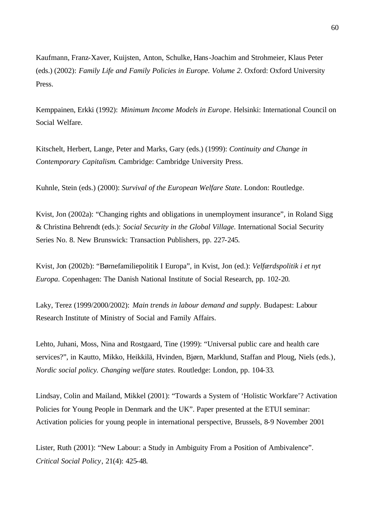Kaufmann, Franz-Xaver, Kuijsten, Anton, Schulke, Hans-Joachim and Strohmeier, Klaus Peter (eds.) (2002): *Family Life and Family Policies in Europe. Volume 2*. Oxford: Oxford University Press.

Kemppainen, Erkki (1992): *Minimum Income Models in Europe*. Helsinki: International Council on Social Welfare.

Kitschelt, Herbert, Lange, Peter and Marks, Gary (eds.) (1999): *Continuity and Change in Contemporary Capitalism*. Cambridge: Cambridge University Press.

Kuhnle, Stein (eds.) (2000): *Survival of the European Welfare State*. London: Routledge.

Kvist, Jon (2002a): "Changing rights and obligations in unemployment insurance", in Roland Sigg & Christina Behrendt (eds.): *Social Security in the Global Village.* International Social Security Series No. 8. New Brunswick: Transaction Publishers, pp. 227-245.

Kvist, Jon (2002b): "Børnefamiliepolitik I Europa", in Kvist, Jon (ed.): *Velfærdspolitik i et nyt Europa*. Copenhagen: The Danish National Institute of Social Research, pp. 102-20.

Laky, Terez (1999/2000/2002): *Main trends in labour demand and supply*. Budapest: Labour Research Institute of Ministry of Social and Family Affairs.

Lehto, Juhani, Moss, Nina and Rostgaard, Tine (1999): "Universal public care and health care services?", in Kautto, Mikko, Heikkilä, Hvinden, Bjørn, Marklund, Staffan and Ploug, Niels (eds.), *Nordic social policy. Changing welfare states*. Routledge: London, pp. 104-33.

Lindsay, Colin and Mailand, Mikkel (2001): "Towards a System of 'Holistic Workfare'? Activation Policies for Young People in Denmark and the UK". Paper presented at the ETUI seminar: Activation policies for young people in international perspective, Brussels, 8-9 November 2001

Lister, Ruth (2001): "New Labour: a Study in Ambiguity From a Position of Ambivalence". *Critical Social Policy*, 21(4): 425-48.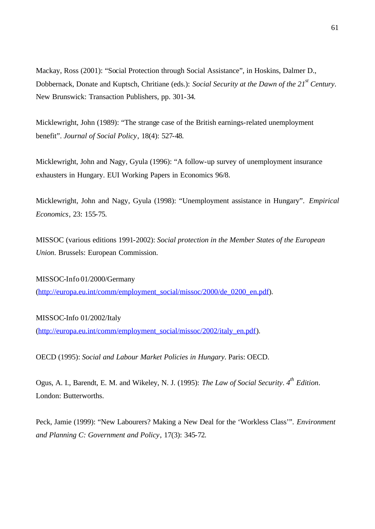Mackay, Ross (2001): "Social Protection through Social Assistance", in Hoskins, Dalmer D., Dobbernack, Donate and Kuptsch, Chritiane (eds.): *Social Security at the Dawn of the 21st Century*. New Brunswick: Transaction Publishers, pp. 301-34.

Micklewright, John (1989): "The strange case of the British earnings-related unemployment benefit". *Journal of Social Policy*, 18(4): 527-48.

Micklewright, John and Nagy, Gyula (1996): "A follow-up survey of unemployment insurance exhausters in Hungary. EUI Working Papers in Economics 96/8.

Micklewright, John and Nagy, Gyula (1998): "Unemployment assistance in Hungary". *Empirical Economics*, 23: 155-75.

MISSOC (various editions 1991-2002): *Social protection in the Member States of the European Union*. Brussels: European Commission.

MISSOC-Info 01/2000/Germany (http://europa.eu.int/comm/employment\_social/missoc/2000/de\_0200\_en.pdf).

# MISSOC-Info 01/2002/Italy

(http://europa.eu.int/comm/employment\_social/missoc/2002/italy\_en.pdf).

OECD (1995): *Social and Labour Market Policies in Hungary*. Paris: OECD.

Ogus, A. I., Barendt, E. M. and Wikeley, N. J. (1995): *The Law of Social Security*. *4th Edition*. London: Butterworths.

Peck, Jamie (1999): "New Labourers? Making a New Deal for the 'Workless Class'". *Environment and Planning C: Government and Policy*, 17(3): 345-72.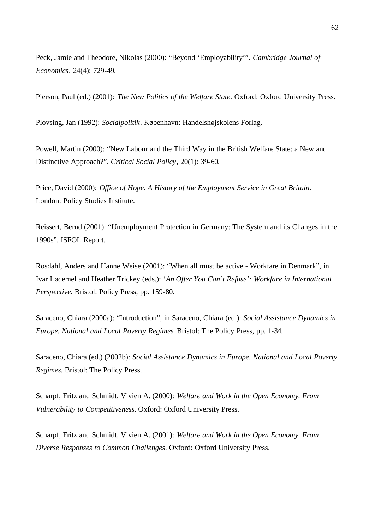Peck, Jamie and Theodore, Nikolas (2000): "Beyond 'Employability'". *Cambridge Journal of Economics*, 24(4): 729-49.

Pierson, Paul (ed.) (2001): *The New Politics of the Welfare State*. Oxford: Oxford University Press.

Plovsing, Jan (1992): *Socialpolitik*. København: Handelshøjskolens Forlag.

Powell, Martin (2000): "New Labour and the Third Way in the British Welfare State: a New and Distinctive Approach?". *Critical Social Policy*, 20(1): 39-60.

Price, David (2000): *Office of Hope. A History of the Employment Service in Great Britain*. London: Policy Studies Institute.

Reissert, Bernd (2001): "Unemployment Protection in Germany: The System and its Changes in the 1990s". ISFOL Report.

Rosdahl, Anders and Hanne Weise (2001): "When all must be active - Workfare in Denmark", in Ivar Lødemel and Heather Trickey (eds.): '*An Offer You Can't Refuse': Workfare in International Perspective.* Bristol: Policy Press, pp. 159-80.

Saraceno, Chiara (2000a): "Introduction", in Saraceno, Chiara (ed.): *Social Assistance Dynamics in Europe. National and Local Poverty Regimes*. Bristol: The Policy Press, pp. 1-34.

Saraceno, Chiara (ed.) (2002b): *Social Assistance Dynamics in Europe. National and Local Poverty Regimes*. Bristol: The Policy Press.

Scharpf, Fritz and Schmidt, Vivien A. (2000): *Welfare and Work in the Open Economy. From Vulnerability to Competitiveness*. Oxford: Oxford University Press.

Scharpf, Fritz and Schmidt, Vivien A. (2001): *Welfare and Work in the Open Economy. From Diverse Responses to Common Challenges*. Oxford: Oxford University Press.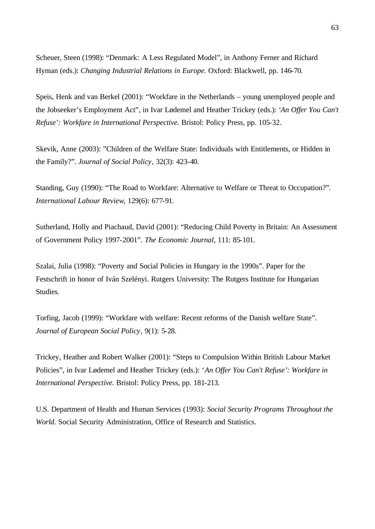Scheuer, Steen (1998): "Denmark: A Less Regulated Model", in Anthony Ferner and Richard Hyman (eds.): *Changing Industrial Relations in Europe.* Oxford: Blackwell, pp. 146-70.

Speis, Henk and van Berkel (2001): "Workfare in the Netherlands – young unemployed people and the Jobseeker's Employment Act", in Ivar Lødemel and Heather Trickey (eds.): '*An Offer You Can't Refuse': Workfare in International Perspective.* Bristol: Policy Press, pp. 105-32.

Skevik, Anne (2003): "Children of the Welfare State: Individuals with Entitlements, or Hidden in the Family?". *Journal of Social Policy*, 32(3): 423-40.

Standing, Guy (1990): "The Road to Workfare: Alternative to Welfare or Threat to Occupation?". *International Labour Review*, 129(6): 677-91.

Sutherland, Holly and Piachaud, David (2001): "Reducing Child Poverty in Britain: An Assessment of Government Policy 1997-2001". *The Economic Journal*, 111: 85-101.

Szalai, Julia (1998): "Poverty and Social Policies in Hungary in the 1990s". Paper for the Festschrift in honor of Iván Szelényi. Rutgers University: The Rutgers Institute for Hungarian Studies.

Torfing, Jacob (1999): "Workfare with welfare: Recent reforms of the Danish welfare State". *Journal of European Social Policy*, 9(1): 5-28.

Trickey, Heather and Robert Walker (2001): "Steps to Compulsion Within British Labour Market Policies", in Ivar Lødemel and Heather Trickey (eds.): '*An Offer You Can't Refuse': Workfare in International Perspective.* Bristol: Policy Press, pp. 181-213.

U.S. Department of Health and Human Services (1993): *Social Security Programs Throughout the World*. Social Security Administration, Office of Research and Statistics.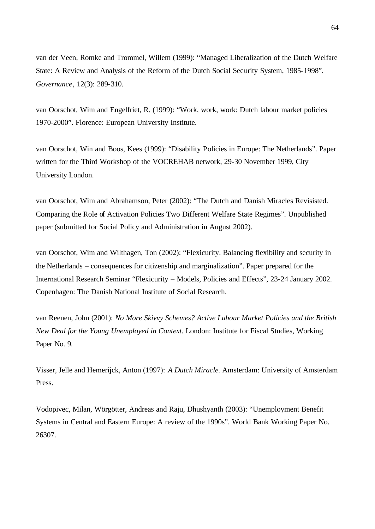van der Veen, Romke and Trommel, Willem (1999): "Managed Liberalization of the Dutch Welfare State: A Review and Analysis of the Reform of the Dutch Social Security System, 1985-1998". *Governance*, 12(3): 289-310.

van Oorschot, Wim and Engelfriet, R. (1999): "Work, work, work: Dutch labour market policies 1970-2000". Florence: European University Institute.

van Oorschot, Win and Boos, Kees (1999): "Disability Policies in Europe: The Netherlands". Paper written for the Third Workshop of the VOCREHAB network, 29-30 November 1999, City University London.

van Oorschot, Wim and Abrahamson, Peter (2002): "The Dutch and Danish Miracles Revisisted. Comparing the Role of Activation Policies Two Different Welfare State Regimes". Unpublished paper (submitted for Social Policy and Administration in August 2002).

van Oorschot, Wim and Wilthagen, Ton (2002): "Flexicurity. Balancing flexibility and security in the Netherlands – consequences for citizenship and marginalization". Paper prepared for the International Research Seminar "Flexicurity – Models, Policies and Effects", 23-24 January 2002. Copenhagen: The Danish National Institute of Social Research.

van Reenen, John (2001): *No More Skivvy Schemes? Active Labour Market Policies and the British New Deal for the Young Unemployed in Context.* London: Institute for Fiscal Studies, Working Paper No. 9.

Visser, Jelle and Hemerijck, Anton (1997): *A Dutch Miracle.* Amsterdam: University of Amsterdam Press.

Vodopivec, Milan, Wörgötter, Andreas and Raju, Dhushyanth (2003): "Unemployment Benefit Systems in Central and Eastern Europe: A review of the 1990s". World Bank Working Paper No. 26307.